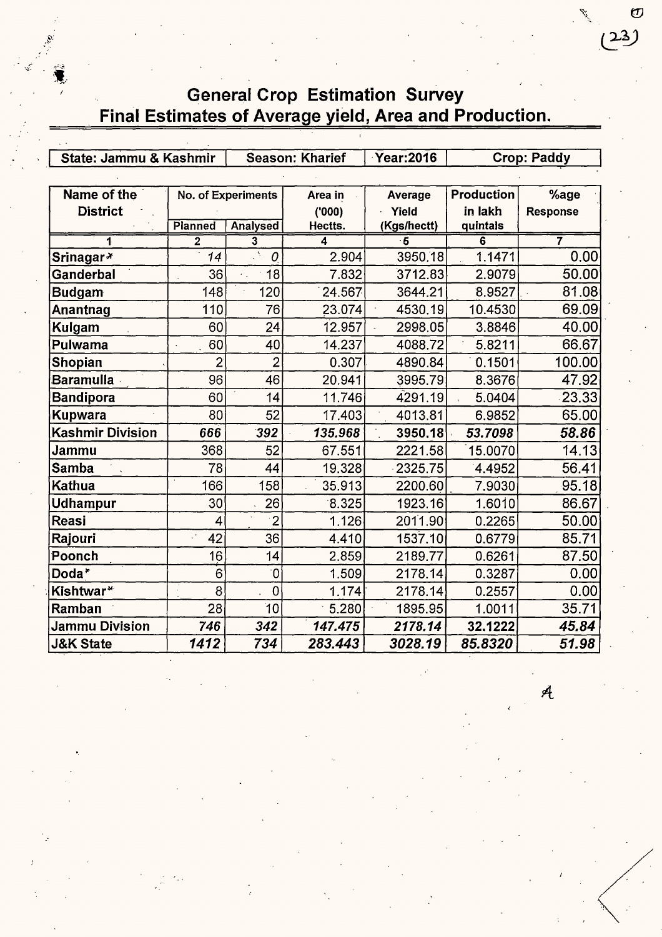## **Fig. 6. General Crop Estimation Survey** Final Estimates of Average yield, Area and Production.

 $\ddot{}$  .

| State: Jammu & Kashmir  |                | <b>Season: Kharief</b> |         | <b>Year:2016</b> | Crop: Paddy       |                 |
|-------------------------|----------------|------------------------|---------|------------------|-------------------|-----------------|
|                         |                |                        |         |                  |                   |                 |
| Name of the             |                | No. of Experiments     | Area in | Average          | <b>Production</b> | %age            |
| <b>District</b>         |                |                        | (000)   | Yield            | in lakh           | <b>Response</b> |
|                         | Planned        | <b>Analysed</b>        | Hectts. | (Kgs/hectt)      | quintals          |                 |
| 1                       | $\overline{2}$ | 3                      | 4       | 5                | 6                 | 7               |
| Srinagar*               | 14             | Â.<br>0                | 2.904   | 3950.18          | 1.1471            | 0.00            |
| Ganderbal               | 36             | 18<br>×.               | 7.832   | 3712.83          | 2.9079            | 50.00           |
| <b>Budgam</b>           | 148            | 120                    | 24.567  | 3644.21          | 8.9527            | 81.08           |
| Anantnag                | 110            | 76                     | 23.074  | 4530.19          | 10.4530           | 69.09           |
| Kulgam                  | 60             | 24                     | 12.957  | 2998.05          | 3.8846            | 40.00           |
| Pulwama                 | 60             | 40                     | 14.237  | 4088.72          | 5.8211            | 66.67           |
| Shopian                 | $\overline{2}$ | $\overline{2}$         | 0.307   | 4890.84          | 0.1501            | 100.00          |
| <b>Baramulla</b>        | 96             | 46                     | 20.941  | 3995.79          | 8.3676            | 47.92           |
| <b>Bandipora</b>        | 60             | 14                     | 11.746  | 4291.19          | 5.0404            | 23.33           |
| <b>Kupwara</b>          | 80             | 52                     | 17.403  | 4013.81          | 6.9852            | 65.00           |
| <b>Kashmir Division</b> | 666            | 392                    | 135.968 | 3950.18          | 53.7098           | 58.86           |
| Jammu                   | 368            | 52                     | 67.551  | 2221.58          | 15.0070           | 14.13           |
| <b>Samba</b>            | 78             | 44                     | 19.328  | 2325.75          | 4.4952            | 56.41           |
| Kathua                  | 166            | 158                    | 35.913  | 2200.60          | 7.9030            | 95.18           |
| <b>Udhampur</b>         | 30             | 26                     | 8.325   | 1923.16          | 1.6010            | 86.67           |
| Reasi                   | 4              | $\cdot$ 2              | 1.126   | 2011.90          | 0.2265            | 50.00           |
| Rajouri                 | 42             | 36                     | 4.410   | 1537.10          | 0.6779            | 85.71           |
| Poonch                  | 16             | 14                     | 2.859   | 2189.77          | 0.6261            | 87.50           |
| Doda*                   | 6              | $\overline{0}$         | 1.509   | 2178.14          | 0.3287            | 0.00            |
| Kishtwar*               | 8              | $\overline{0}$         | 1.174   | 2178.14          | 0.2557            | 0.00            |
| Ramban                  | 28             | 10                     | 5.280   | 1895.95          | 1.0011            | 35.71           |
| Jammu Division          | 746            | 342                    | 147.475 | 2178.14          | 32.1222           | 45.84           |
| <b>J&amp;K State</b>    | 1412           | 734                    | 283.443 | 3028.19          | 85.8320           | 51.98           |

 $\mathcal{A}$ 

*;f* -~~

 $\bm{\sigma}$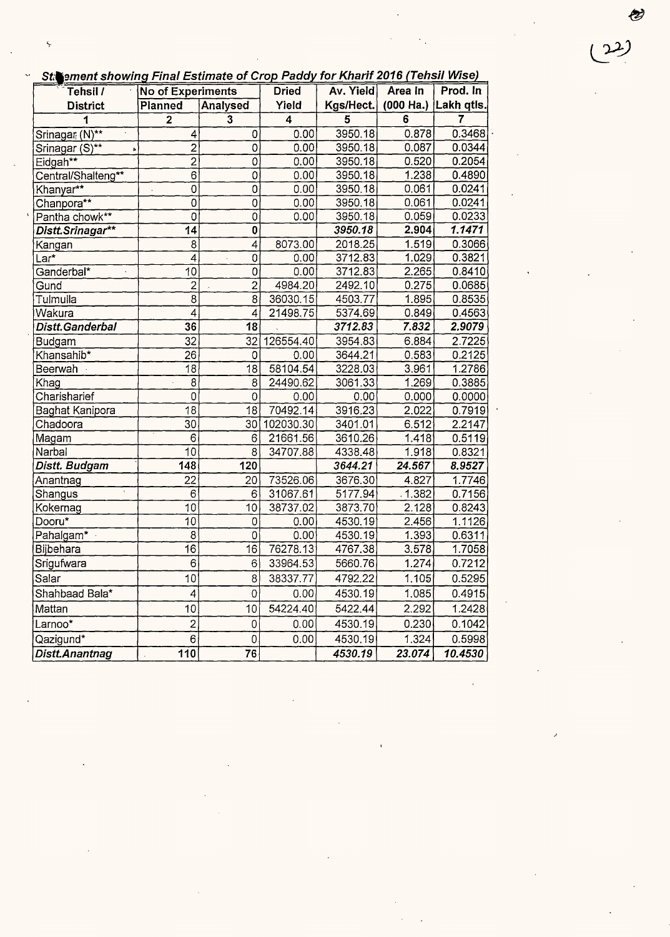|  |  | St. ement showing Final Estimate of Crop Paddy for Kharif 2016 (Tehsil Wise) |  |
|--|--|------------------------------------------------------------------------------|--|
|--|--|------------------------------------------------------------------------------|--|

 $(22)$ 

 $\frac{1}{\sqrt{2}}\int_{0}^{\sqrt{2}}\frac{1}{\sqrt{2}}\left( \frac{1}{\sqrt{2}}\right) \left( \frac{1}{\sqrt{2}}\right) \frac{1}{\sqrt{2}}\left( \frac{1}{\sqrt{2}}\right) \left( \frac{1}{\sqrt{2}}\right) \left( \frac{1}{\sqrt{2}}\right) \left( \frac{1}{\sqrt{2}}\right) \left( \frac{1}{\sqrt{2}}\right) \left( \frac{1}{\sqrt{2}}\right) \left( \frac{1}{\sqrt{2}}\right) \left( \frac{1}{\sqrt{2}}\right) \left( \frac{1}{\sqrt{2}}\right) \left($ 

 $\label{eq:2} \frac{1}{\sqrt{2}}\int_{0}^{\infty}\frac{1}{\sqrt{2\pi}}\left(\frac{1}{\sqrt{2\pi}}\right)^{2}d\mu_{\rm{eff}}$ 

| Superiori Showing Final Estimate of Crop Faudy for Kham 2010 Tensil Wise)<br>Tehsil / |                          |                       |              | Av. Yield      | Area In            | Prod. In                    |
|---------------------------------------------------------------------------------------|--------------------------|-----------------------|--------------|----------------|--------------------|-----------------------------|
|                                                                                       | <b>No of Experiments</b> |                       | <b>Dried</b> |                |                    |                             |
| <b>District</b>                                                                       | Planned                  | Analysed<br>$\bar{3}$ | Yield        | Kgs/Hect.<br>5 |                    | $(000$ Ha.) Lakh qtls.<br>7 |
| 1                                                                                     | $\overline{\mathbf{2}}$  |                       | 4            |                | 6                  |                             |
| Srinagar <sub>i</sub> (N)**                                                           | 4                        | 0                     | 0.00         | 3950.18        | 0.878              | 0.3468                      |
| Srinagar (S)**                                                                        | $\overline{2}$           | $\mathbf 0$           | 0.00         | 3950.18        | 0.087              | 0.0344                      |
| Eidgah <sup>**</sup>                                                                  | $\overline{2}$           | $\overline{0}$        | 0.00         | 3950.18        | 0.520              | 0.2054                      |
| Central/Shalteng**                                                                    | $\overline{6}$           | $\mathbf 0$           | 0.00         | 3950.18        | 1.238              | 0.4890                      |
| Khanyar**                                                                             | $\overline{0}$           | $\mathbf 0$           | 0.00         | 3950.18        | 0.061              | 0.0241                      |
| Chanpora**                                                                            | $\overline{0}$           | 0                     | 0.00         | 3950.18        | 0.061              | 0.0241                      |
| Pantha chowk**                                                                        | $\overline{0}$<br>14     | $\overline{0}$        | 0.00         | 3950.18        | 0.059              | 0.0233<br>1.1471            |
| Distt.Srinagar**                                                                      |                          | 0                     |              | 3950.18        | 2.904              |                             |
| Kangan                                                                                | $\overline{8}$           | 4                     | 8073.00      | 2018.25        | 1.519              | 0.3066                      |
| Lar*                                                                                  | $\overline{4}$           | 0                     | 0.00         | 3712.83        | 1.029              | 0.3821                      |
| Ganderbal*                                                                            | 10                       | 0                     | 0.00         | 3712.83        | 2.265              | 0.8410                      |
| Gund                                                                                  | $\overline{c}$           | $\overline{c}$        | 4984.20      | 2492.10        | 0.275              | 0.0685                      |
| Tulmulla                                                                              | 8                        | 8                     | 36030.15     | 4503.77        | 1.895              | 0.8535                      |
| <b>Wakura</b>                                                                         | 4                        | 4                     | 21498.75     | 5374.69        | 0.849              | 0.4563                      |
| Distt.Ganderbal                                                                       | 36                       | 18                    |              | 3712.83        | $7.\overline{832}$ | 2.9079                      |
| Budgam                                                                                | 32                       | 32                    | 126554.40    | 3954.83        | 6.884              | 2.7225                      |
| Khansahib*                                                                            | 26                       | 0                     | 0.00         | 3644.21        | 0.583              | 0.2125                      |
| Beerwah ·                                                                             | 18                       | 18                    | 58104.54     | 3228.03        | 3.961              | 1.2786                      |
| Khag                                                                                  | 8                        | 8                     | 24490.62     | 3061.33        | 1.269              | 0.3885                      |
| Charisharief                                                                          | $\mathbf 0$              | 0                     | 0.00         | 0.00           | 0.000              | 0.0000                      |
| Baghat Kanipora                                                                       | 18                       | 18                    | 70492.14     | 3916.23        | 2.022              | 0.7919                      |
| Chadoora                                                                              | 30                       | 30                    | 102030.30    | 3401.01        | 6.512              | 2.2147                      |
| Magam                                                                                 | 6                        | 6                     | 21661.56     | 3610.26        | 1.418              | 0.5119                      |
| Narbal                                                                                | 10                       | 8                     | 34707.88     | 4338.48        | 1.918              | 0.8321                      |
| Distt. Budgam                                                                         | 148                      | 120                   |              | 3644.21        | 24.567             | 8.9527                      |
| Anantnag                                                                              | 22                       | 20                    | 73526.06     | 3676.30        | 4.827              | 1.7746                      |
| Shangus                                                                               | $\overline{6}$           | 6                     | 31067.61     | 5177.94        | .1.382             | 0.7156                      |
| Kokernag                                                                              | 10                       | 10                    | 38737.02     | 3873.70        | 2.128              | 0.8243                      |
| Dooru*                                                                                | 10                       | 0                     | 0.00         | 4530.19        | 2.456              | 1.1126                      |
| Pahalgam* ·                                                                           | 8                        | 0                     | 0.00         | 4530.19        | 1.393              | 0.6311                      |
| Bijbehara                                                                             | $\overline{16}$          | 16                    | 76278.13     | 4767.38        | 3.578              | 1.7058                      |
| Srigufwara                                                                            | 6                        | 6                     | 33964.53     | 5660.76        | 1.274              | 0.7212                      |
| Salar                                                                                 | 10                       | 8                     | 38337.77     | 4792.22        | 1.105              | 0.5295                      |
| Shahbaad Bala*                                                                        | 4                        | 0                     | 0.00         | 4530.19        | 1.085              | 0.4915                      |
| Mattan                                                                                | 10                       | 10                    | 54224.40     | 5422.44        | 2.292              | 1.2428                      |
| Larnoo*                                                                               | $\overline{2}$           | 0                     | 0.00         | 4530.19        | 0.230              | 0.1042                      |
| Qazigund*                                                                             | 6                        | 0                     | 0.00         | 4530.19        | 1.324              | 0.5998                      |
| Distt.Anantnag                                                                        | 110                      | 76                    |              | 4530.19        | 23.074             | 10.4530                     |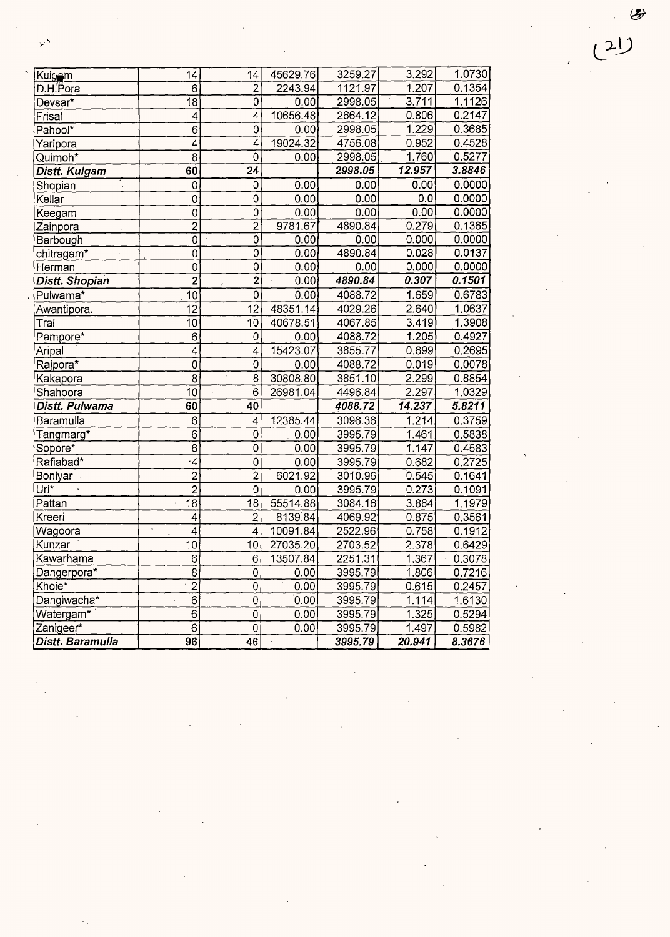| Kulgam               | 14                        | 14                        | 45629.76 | 3259.27 | 3.292              | 1.0730   |
|----------------------|---------------------------|---------------------------|----------|---------|--------------------|----------|
| D.H.Pora             | 6                         | $\overline{2}$            | 2243.94  | 1121.97 | 1.207              | 0.1354   |
| Devsar*              | $\overline{18}$           | 0                         | 0.00     | 2998.05 | 3.711              | 1.1126   |
| Frisal               | 4                         | $\overline{\bf{4}}$       | 10656.48 | 2664.12 | 0.806              | 0.2147   |
| Pahool*              | 6                         | 0                         | 0.00     | 2998.05 | 1.229              | 0.3685   |
| Yaripora             | 4                         | 4                         | 19024.32 | 4756.08 | 0.952              | 0.4528   |
| Quimoh*              | 8                         | 0                         | 0.00     | 2998.05 | 1.760              | 0.5277   |
| Distt. Kulgam        | 60                        | 24                        |          | 2998.05 | 12.957             | 3.8846   |
| Shopian              | 0                         | 0                         | 0.00     | 0.00    | 0.00               | 0.0000   |
| Kellar               | 0                         | $\mathbf 0$               | 0.00     | 0.00    | 0.0                | 0.0000   |
| Keegam               | Ö                         | $\overline{0}$            | 0.00     | 0.00    | 0.00               | 0.0000   |
| Zainpora             | $\overline{2}$            | $\overline{2}$            | 9781.67  | 4890.84 | 0.279              | 0.1365   |
| Barbough             | $\overline{0}$            | $\overline{0}$            | 0.00     | 0.00    | 0.000              | 0.0000   |
| chitragam*           | Ö                         | 0                         | 0.00     | 4890.84 | 0.028              | 0.0137   |
| Herman               | $\overline{0}$            | $\overline{0}$            | 0.00     | 0.00    | 0.000              | 0.0000   |
| Distt. Shopian       | $\overline{2}$            | $\overline{2}$            | 0.00     | 4890.84 | 0.307              | 0.1501   |
| Pulwama <sup>*</sup> | 10                        | $\overline{0}$            | 0.00     | 4088.72 | 1.659              | 0.6783   |
| Awantipora.          | 12                        | 12                        | 48351.14 | 4029.26 | 2.640              | 1.0637   |
| Tral                 | 10                        | 10                        | 40678.51 | 4067.85 | 3.419              | 1.3908   |
| Pampore*             | 6                         | 0                         | 0.00     | 4088.72 | $1.\overline{2}05$ | 0.4927   |
| Aripal               | 4                         | 4                         | 15423.07 | 3855.77 | 0.699              | 0.2695   |
| Rajpora*             | 0                         | $\mathbf 0$               | 0.00     | 4088.72 | 0.019              | 0.0078   |
| Kakapora             | $\overline{8}$            | 8                         | 30808.80 | 3851.10 | 2.299              | 0.8854   |
| Shahoora             | $\overline{10}$           | $\overline{6}$<br>Ŷ.      | 26981.04 | 4496.84 | 2.297              | 1.0329   |
| Distt. Pulwama       | 60                        | 40                        |          | 4088.72 | 14.237             | 5.8211   |
| Baramulla            | 6                         | 4                         | 12385.44 | 3096.36 | 1.214              | 0.3759   |
| Tangmarg*            | 6                         | 0                         | 0.00     | 3995.79 | 1.461              | 0.5838   |
| Sopore*              | $\bar{6}$                 | 0                         | 0.00     | 3995.79 | $\overline{1.147}$ | 0.4583   |
| Rafiabad*            | $\cdot$ 4                 | 0                         | 0.00     | 3995.79 | 0.682              | 0.2725   |
| Boniyar              | $\overline{2}$            | $\overline{2}$            | 6021.92  | 3010.96 | 0.545              | 0.1641   |
| Uri*                 | $\overline{2}$            | $\overline{\mathfrak{o}}$ | 0.00     | 3995.79 | 0.273              | 0.1091   |
| Pattan               | $\overline{18}$           | 18                        | 55514.88 | 3084.16 | 3.884              | 1.1979   |
| Kreeri               | $\overline{4}$            | $\overline{2}$            | 8139.84  | 4069.92 | 0.875              | 0.3561   |
| Wagoora              | $\ddot{\phantom{0}}$<br>4 | $\overline{4}$            | 10091.84 | 2522.96 | 0.758              | 0.1912   |
| Kunzar               | 10                        | 10                        | 27035.20 | 2703.52 | 2.378              | 0.6429   |
| Kawarhama            | $\overline{6}$            | 6                         | 13507.84 | 2251.31 | 1.367              | [0.3078] |
| Dangerpora*          | $\overline{8}$            | 0                         | 0.00     | 3995.79 | 1.806              | 0.7216   |
| Khoie*               | $\overline{2}$            | 0                         | 0.00     | 3995.79 | 0.615              | 0.2457   |
| Dangiwacha*          | 6                         | 0                         | 0.00     | 3995.79 | 1.114              | 1.6130   |
| Watergam*            | 6                         | 0                         | 0.00     | 3995.79 | 1.325              | 0.5294   |
| Zanigeer*            | 6                         | $\mathsf{O}\xspace$       | 0.00     | 3995.79 | 1.497              | 0.5982   |
| Distt. Baramulla     | 96                        | 46                        |          | 3995.79 | 20.941             | 8.3676   |

*y·* '

 $\circledast$  $(2!)$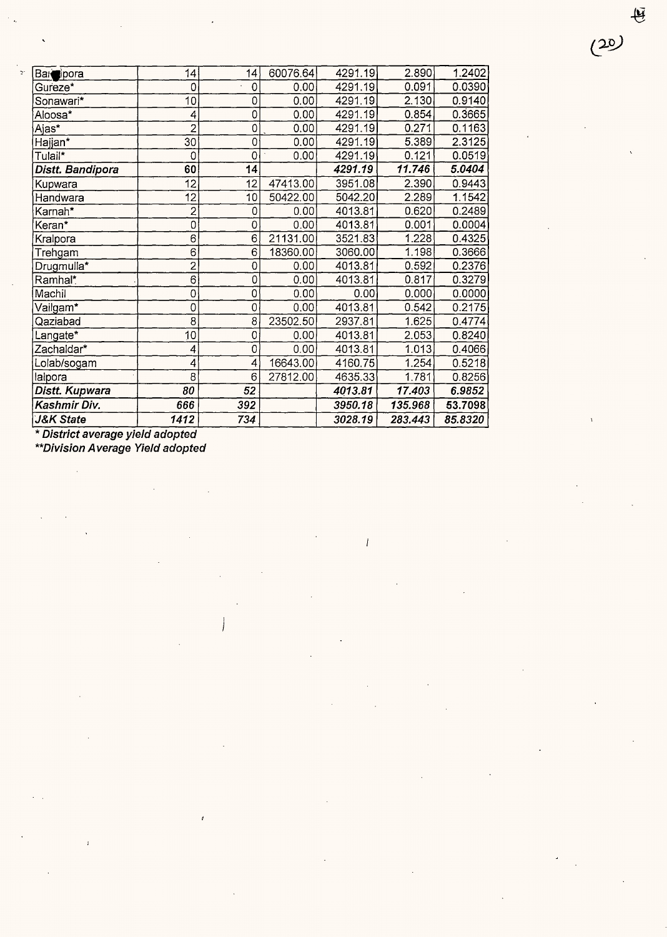| <b>J&amp;K State</b>    | 1412           | 734            |          | 3028.19 | 283.443 | 85.8320 |
|-------------------------|----------------|----------------|----------|---------|---------|---------|
| Kashmir Div.            | 666            | 392            |          | 3950.18 | 135.968 | 53.7098 |
| Distt. Kupwara          | 80             | 52             |          | 4013.81 | 17.403  | 6.9852  |
| Ialpora                 | 8              | 6              | 27812.00 | 4635.33 | 1.781   | 0.8256  |
| Lolab/sogam             | 4              | 4              | 16643.00 | 4160.75 | 1.254   | 0.5218  |
| Zachaldar*              | 4              | $\bar{0}$      | 0.00     | 4013.81 | 1.013   | 0.4066  |
| Langate*                | 10             | $\overline{0}$ | 0.00     | 4013.81 | 2.053   | 0.8240  |
| Qaziabad                | 8              | 8              | 23502.50 | 2937.81 | 1.625   | 0.4774  |
| Vailgam*                | 0              | 0              | 0.00     | 4013.81 | 0.542   | 0.2175  |
| Machil                  | $\mathbf 0$    | Ö              | 0.00     | 0.00    | 0.000   | 0.0000  |
| Ramhal*                 | $\overline{6}$ | 0              | 0.00     | 4013.81 | 0.817   | 0.3279  |
| Drugmulla*              | $\overline{2}$ | 0              | 0.00     | 4013.81 | 0.592   | 0.2376  |
| Trehgam                 | 6              | 6              | 18360.00 | 3060.00 | 1.198   | 0.3666  |
| Kralpora                | 6              | $\overline{6}$ | 21131.00 | 3521.83 | 1.228   | 0.4325  |
| Keran*                  | 0              | 0              | 0.00     | 4013.81 | 0.001   | 0.0004  |
| Karnah*                 | $\overline{2}$ | 0              | 0.00     | 4013.81 | 0.620   | 0.2489  |
| Handwara                | 12             | 10             | 50422.00 | 5042.20 | 2.289   | 1.1542  |
| Kupwara                 | 12             | 12             | 47413.00 | 3951.08 | 2.390   | 0.9443  |
| <b>Distt. Bandipora</b> | 60             | 14             |          | 4291.19 | 11.746  | 5.0404  |
| Tulail*                 | 0              | $\mathbf 0$    | 0.00     | 4291.19 | 0.121   | 0.0519  |
| Hajjan*                 | 30             | $\overline{0}$ | 0.00     | 4291.19 | 5.389   | 2.3125  |
| Ajas*                   | $\overline{2}$ | 0              | 0.00     | 4291.19 | 0.271   | 0.1163  |
| Aloosa*                 | 4              | $\overline{0}$ | 0.00     | 4291.19 | 0.854   | 0.3665  |
| Sonawari*               | 10             | 0              | 0.00     | 4291.19 | 2.130   | 0.9140  |
| Gureze <sup>*</sup>     | $\mathbf 0$    | $\overline{0}$ | 0.00     | 4291.19 | 0.091   | 0.0390  |
| Bar <b>e</b> ipora      | 14             | 14             | 60076.64 | 4291.19 | 2.890   | 1.2402  |

 $\overline{1}$ 

\* **District average yield adopted** 

**\*\*Division Average Yield adopted** 

母

 $(20)$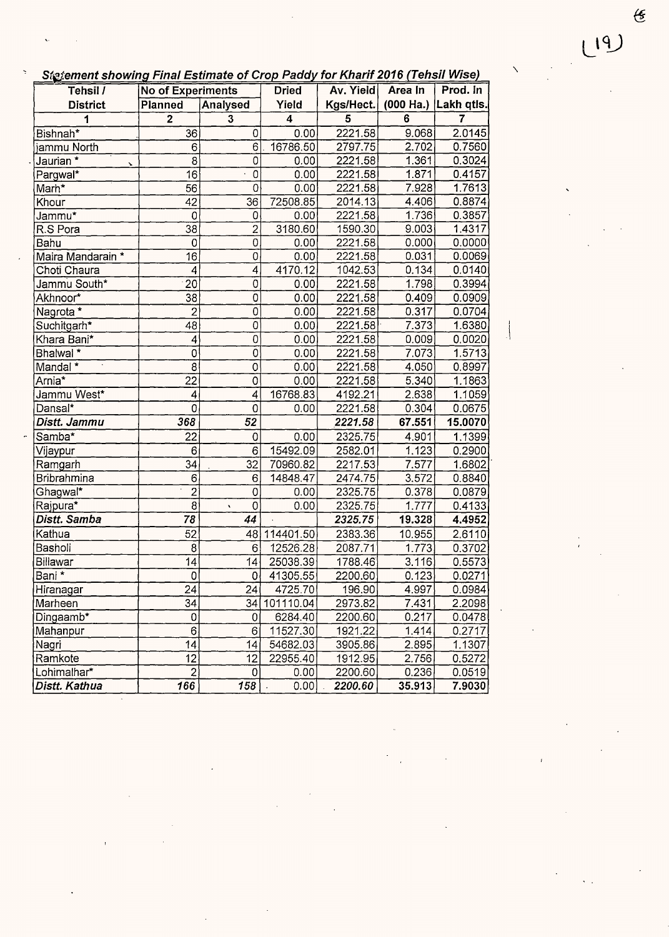| Tehsil /             | <b>No of Experiments</b> |                           | <b>Dried</b> | Av. Yield | Area In        | Prod. In               |
|----------------------|--------------------------|---------------------------|--------------|-----------|----------------|------------------------|
| <b>District</b>      | Planned                  | Yield<br>Analysed         |              | Kgs/Hect. |                | $(000$ Ha.) Lakh qtls. |
| 1                    | $\overline{2}$           | 3                         | 4            | 5         | $6\phantom{a}$ | 7                      |
| Bishnah*             | 36                       | 0                         | 0.00         | 2221.58   | 9.068          | 2.0145                 |
| jammu North          | 6                        | 6                         | 16786.50     | 2797.75   | 2.702          | 0.7560                 |
| Jaurian *            | 8                        | $\overline{0}$            | 0.00         | 2221.58   | 1.361          | 0.3024                 |
| Pargwal*             | 16                       | $\mathbf 0$               | 0.00         | 2221.58   | 1.871          | 0.4157                 |
| Marh*                | 56                       | $\overline{0}$            | 0.00         | 2221.58   | 7.928          | 1.7613                 |
| Khour                | 42                       | 36                        | 72508.85     | 2014.13   | 4.406          | 0.8874                 |
| Jammu*               | 0                        | 0                         | 0.00         | 2221.58   | 1.736          | 0.3857                 |
| R.S Pora             | 38                       | $\overline{2}$            | 3180.60      | 1590.30   | 9.003          | 1.4317                 |
| Bahu                 | $\mathbf 0$              | $\mathbf 0$               | 0.00         | 2221.58   | 0.000          | 0.0000                 |
| Maira Mandarain *    | 16                       | $\mathbf 0$               | 0.00         | 2221.58   | 0.031          | 0.0069                 |
| Choti Chaura         | $\overline{\mathcal{L}}$ | $\overline{\mathcal{L}}$  | 4170.12      | 1042.53   | 0.134          | 0.0140                 |
| Jammu South*         | 20                       | $\mathsf O$               | 0.00         | 2221.58   | 1.798          | 0.3994                 |
| Akhnoor*             | $\overline{38}$          | $\overline{0}$            | 0.00         | 2221.58   | 0.409          | 0.0909                 |
| Nagrota <sup>*</sup> | $\overline{2}$           | $\overline{0}$            | 0.00         | 2221.58   | 0.317          | 0.0704                 |
| Suchitgarh*          | 48                       | $\overline{\mathfrak{o}}$ | 0.00         | 2221.58   | 7.373          | 1.6380                 |
| Khara Bani*          | 4                        | $\mathbf 0$               | 0.00         | 2221.58   | 0.009          | 0.0020                 |
| Bhalwal *            | $\mathsf 0$              | $\overline{0}$            | 0.00         | 2221.58   | 7.073          | 1.5713                 |
| Mandal *             | 8                        | $\circ$                   | 0.00         | 2221.58   | 4.050          | 0.8997                 |
| Arnia <sup>*</sup>   | 22                       | 0                         | 0.00         | 2221.58   | 5.340          | 1.1863                 |
| Jammu West*          | 4                        | $\overline{4}$            | 16768.83     | 4192.21   | 2.638          | 1.1059                 |
| Dansal*              | $\mathbf 0$              | $\mathbf 0$               | 0.00         | 2221.58   | 0.304          | 0.0675                 |
| Distt. Jammu         | 368                      | 52                        |              | 2221.58   | 67.551         | 15.0070                |
| Samba*               | 22                       | 0                         | 0.00         | 2325.75   | 4.901          | 1.1399                 |
| Vijaypur             | 6                        | 6                         | 15492.09     | 2582.01   | 1.123          | 0.2900                 |
| Ramgarh              | $\overline{34}$          | $\overline{32}$           | 70960.82     | 2217.53   | 7.577          | 1.6802                 |
| Bribrahmina          | $\mathbf 6$              | 6                         | 14848.47     | 2474.75   | 3.572          | 0.8840                 |
| Ghagwal*             | $\overline{2}$           | 0                         | 0.00         | 2325.75   | 0.378          | 0.0879                 |
| Rajpura*             | $\mathbf{8}$             | $\mathbf 0$<br>$\sqrt{2}$ | 0.00         | 2325.75   | 1.777          | 0.4133                 |
| Distt. Samba         | 78                       | 44                        |              | 2325.75   | 19.328         | 4.4952                 |
| Kathua               | $\overline{5}2$          | 48                        | 114401.50    | 2383.36   | 10.955         | 2.6110                 |
| Basholi              | $\overline{8}$           | 6                         | 12526.28     | 2087.71   | 1.773          | 0.3702                 |
| <b>Billawar</b>      | 14                       | 14                        | 25038.39     | 1788.46   | 3.116          | 0.5573                 |
| Bani *               | 0                        | 0                         | 41305.55     | 2200.60   | 0.123          | 0.0271                 |
| Hiranagar            | 24                       | 24                        | 4725.70      | 196.90    | 4.997          | 0.0984                 |
| Marheen              | 34                       | 34                        | 101110.04    | 2973.82   | 7.431          | 2.2098                 |
| Dingaamb*            | 0                        | 0                         | 6284.40      | 2200.60   | 0.217          | 0.0478                 |
| Mahanpur             | 6                        | 6                         | 11527.30     | 1921.22   | 1.414          | 0.2717                 |
| Nagri                | 14                       | 14                        | 54682.03     | 3905.86   | 2.895          | 1.1307                 |
| Ramkote              | 12                       | 12                        | 22955.40     | 1912.95   | 2.756          | 0.5272                 |
| Lohimalhar*          | $\overline{2}$           | 0                         | 0.00         | 2200.60   | 0.236          | 0.0519                 |
| Distt. Kathua        | 166                      | 158                       | 0.00         | 2200.60   | 35.913         | 7.9030                 |

 $\frac{1}{2}$ 

 $(19)$ 

 $\int_{\mathbb{R}^d} \left| \int_{\mathbb{R}^d} \left| \int_{\mathbb{R}^d} \left| \int_{\mathbb{R}^d} \left| \int_{\mathbb{R}^d} \left| \int_{\mathbb{R}^d} \left| \int_{\mathbb{R}^d} \left| \int_{\mathbb{R}^d} \left| \int_{\mathbb{R}^d} \left| \int_{\mathbb{R}^d} \left| \int_{\mathbb{R}^d} \left| \int_{\mathbb{R}^d} \left| \int_{\mathbb{R}^d} \left| \int_{\mathbb{R}^d} \left| \int_{\mathbb{R}^$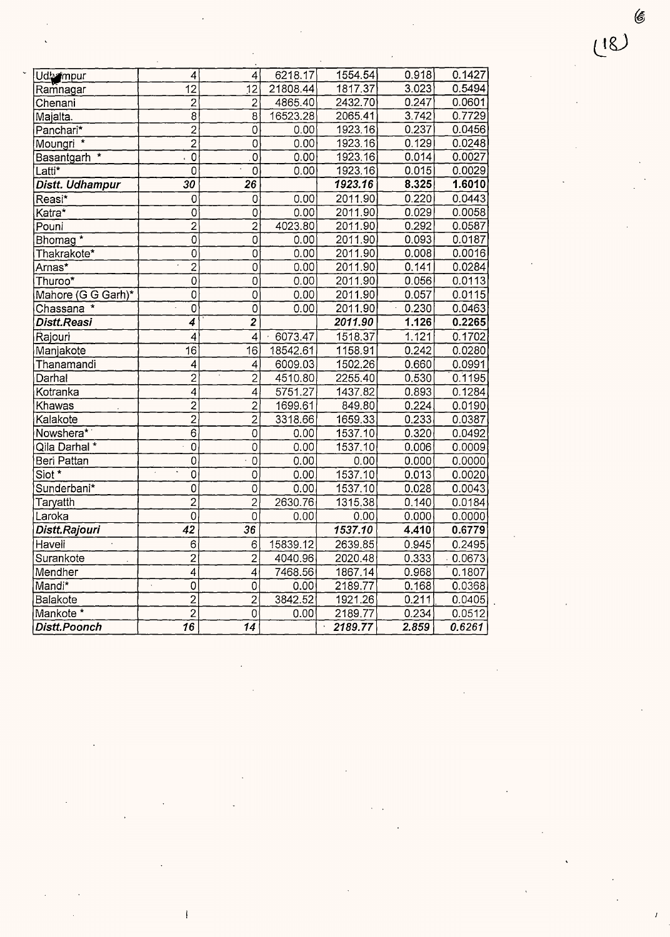| Udbempur                | 4                                      | 4                         | 6218.17    | 1554.54 | 0.918 | 0.1427 |
|-------------------------|----------------------------------------|---------------------------|------------|---------|-------|--------|
| Ramnagar                | $\overline{12}$                        | $\overline{12}$           | 21808.44   | 1817.37 | 3.023 | 0.5494 |
| Chenani                 | $\overline{2}$                         | $\overline{2}$            | 4865.40    | 2432.70 | 0.247 | 0.0601 |
| Majalta.                | $\overline{8}$                         | $\overline{\mathbf{8}}$   | 16523.28   | 2065.41 | 3.742 | 0.7729 |
| Panchari*               | $\overline{2}$                         | $\overline{O}$            | 0.00       | 1923.16 | 0.237 | 0.0456 |
| Moungri <sup>*</sup>    | $\overline{2}$                         | $\overline{0}$            | 0.00       | 1923.16 | 0.129 | 0.0248 |
| Basantgarh <sup>*</sup> | $\overline{0}$                         | $\overline{0}$            | 0.00       | 1923.16 | 0.014 | 0.0027 |
| Latti*                  | ō                                      | $\overline{0}$            | 0.00       | 1923.16 | 0.015 | 0.0029 |
| Distt. Udhampur         | 30                                     | $\overline{26}$           |            | 1923.16 | 8.325 | 1.6010 |
| Reasi*                  | 0                                      | 0                         | 0.00       | 2011.90 | 0.220 | 0.0443 |
| Katra*                  | 0                                      | $\overline{0}$            | 0.00       | 2011.90 | 0.029 | 0.0058 |
| Pouni                   | $\overline{2}$                         | $\overline{2}$            | 4023.80    | 2011.90 | 0.292 | 0.0587 |
| Bhomag <sup>*</sup>     | $\overline{0}$                         | $\overline{0}$            | 0.00       | 2011.90 | 0.093 | 0.0187 |
| Thakrakote*             | $\overline{0}$                         | $\overline{0}$            | 0.00       | 2011.90 | 0.008 | 0.0016 |
| Arnas*                  | $\overline{2}$                         | $\overline{0}$            | 0.00       | 2011.90 | 0.141 | 0.0284 |
| Thuroo*                 | $\overline{0}$                         | $\overline{\mathfrak{o}}$ | 0.00       | 2011.90 | 0.056 | 0.0113 |
| Mahore (G G Garh)*      | $\overline{0}$                         | $\overline{\mathfrak{o}}$ | 0.00       | 2011.90 | 0.057 | 0.0115 |
| Chassana <sup>*</sup>   | $\overline{0}$                         | $\overline{0}$            | 0.00       | 2011.90 | 0.230 | 0.0463 |
| Distt.Reasi             | 4                                      | $\overline{2}$            |            | 2011.90 | 1.126 | 0.2265 |
| Rajouri                 | 4                                      | 4                         | $-6073.47$ | 1518.37 | 1.121 | 0.1702 |
| Manjakote               | 16                                     | 16                        | 18542.61   | 1158.91 | 0.242 | 0.0280 |
| Thanamandi              | 4                                      | 4                         | 6009.03    | 1502.26 | 0.660 | 0.0991 |
| Darhal                  | $\overline{2}$                         | $\overline{2}$            | 4510.80    | 2255.40 | 0.530 | 0.1195 |
| Kotranka                | $\overline{4}$                         | $\overline{4}$            | 5751.27    | 1437.82 | 0.893 | 0.1284 |
| Khawas                  | $\overline{2}$                         | $\overline{2}$            | 1699.61    | 849.80  | 0.224 | 0.0190 |
| Kalakote                | $\overline{2}$                         | $\overline{2}$            | 3318.66    | 1659.33 | 0.233 | 0.0387 |
| Nowshera*               | $\overline{6}$                         | $\overline{0}$            | 0.00       | 1537.10 | 0.320 | 0.0492 |
| Qila Darhal *           | $\overline{0}$                         | $\overline{0}$            | 0.00       | 1537.10 | 0.006 | 0.0009 |
| Beri Pattan             | $\overline{0}$                         | $\overline{0}$            | 0.00       | 0.00    | 0.000 | 0.0000 |
| Siot *                  | $\overline{0}$                         | $\overline{0}$            | 0.00       | 1537.10 | 0.013 | 0.0020 |
| Sunderbani*             | $\overline{0}$                         | $\overline{0}$            | 0.00       | 1537.10 | 0.028 | 0.0043 |
| Taryatth                | $\overline{2}$                         | $\overline{2}$            | 2630.76    | 1315.38 | 0.140 | 0.0184 |
| Laroka                  | $\overline{0}$                         | $\mathbf 0$               | 0.00       | 0.00    | 0.000 | 0.0000 |
| Distt.Rajouri           | $\overline{42}$                        | 36                        |            | 1537.10 | 4,410 | 0.6779 |
| Haveli                  | $\overline{6}$                         | 6                         | 15839.12   | 2639.85 | 0.945 | 0.2495 |
| Surankote               | $\overline{2}$                         | $\overline{2}$            | 4040.96    | 2020.48 | 0.333 | 0.0673 |
| Mendher                 | $\overline{4}$                         | $\overline{\mathcal{A}}$  | 7468.56    | 1867.14 | 0.968 | 0.1807 |
| Mandi*                  | $\overline{0}$<br>$\ddot{\phantom{a}}$ | $\mathsf 0$               | 0.00       | 2189.77 | 0.168 | 0.0368 |
| Balakote                | $\overline{2}$                         | $\overline{2}$            | 3842.52    | 1921.26 | 0.211 | 0.0405 |
| Mankote *               | $\overline{2}$                         | $\mathsf 0$               | 0.00       | 2189.77 | 0.234 | 0.0512 |
| <b>Distt.Poonch</b>     | $\overline{16}$                        | $\overline{14}$           |            | 2189.77 | 2.859 | 0.6261 |

 $(18)$ 

 $\mathscr{\mathscr{C}}$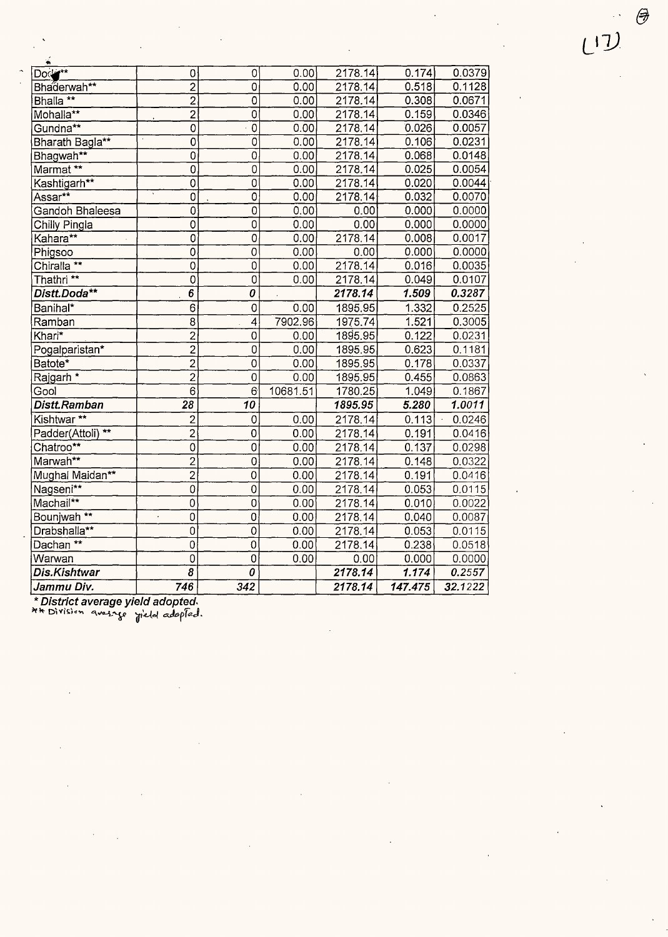|--|--|--|

 $\bigcirc$ 

| $\bullet$              |                                  |                  |          |         |         |         |
|------------------------|----------------------------------|------------------|----------|---------|---------|---------|
| Doctor*                | 0                                | 0                | 0.00     | 2178.14 | 0.174   | 0.0379  |
| Bhaderwah**            | $\overline{2}$                   | 0                | 0.00     | 2178.14 | 0.518   | 0.1128  |
| Bhalla <sup>**</sup>   | $\overline{2}$                   | $\overline{0}$   | 0.00     | 2178.14 | 0.308   | 0.0671  |
| Mohalla**              | $\overline{2}$                   | $\overline{0}$   | 0.00     | 2178.14 | 0.159   | 0.0346  |
| Gundna**               | 0                                | $\overline{0}$   | 0.00     | 2178.14 | 0.026   | 0.0057  |
| Bharath Bagla**        | 0                                | Ő                | 0.00     | 2178.14 | 0.106   | 0.0231  |
| Bhagwah**              | $\overline{0}$                   | $\overline{0}$   | 0.00     | 2178.14 | 0.068   | 0.0148  |
| Marmat **              | $\overline{0}$                   | $\overline{0}$   | 0.00     | 2178.14 | 0.025   | 0.0054  |
| Kashtigarh**           | $\overline{0}$                   | $\overline{0}$   | 0.00     | 2178.14 | 0.020   | 0.0044  |
| Assar**                | $\overline{0}$                   | $\overline{0}$   | 0.00     | 2178.14 | 0.032   | 0.0070  |
| Gandoh Bhaleesa        | $\overline{0}$                   | $\overline{0}$   | 0.00     | 0.00    | 0.000   | 0.0000  |
| Chilly Pingla          | $\overline{0}$                   | $\overline{0}$   | 0.00     | 0.00    | 0.000   | 0.0000  |
| Kahara**               | $\overline{0}$                   | $\overline{0}$   | 0.00     | 2178.14 | 0.008   | 0.0017  |
| Phigsoo                | $\overline{0}$                   | $\overline{0}$   | 0.00     | 0.00    | 0.000   | 0.0000  |
| Chiralla <sup>**</sup> | $\overline{0}$                   | $\overline{0}$   | 0.00     | 2178.14 | 0.016   | 0.0035  |
| Thathri <sup>**</sup>  | $\overline{0}$                   | $\overline{0}$   | 0.00     | 2178.14 | 0.049   | 0.0107  |
| Distt.Doda**           | $\overline{6}$                   | 0                |          | 2178.14 | 1.509   | 0.3287  |
| Banihal*               | $\overline{6}$                   | $\hbox{O}$       | 0.00     | 1895.95 | 1.332   | 0.2525  |
| Ramban                 | $\overline{8}$                   | $\overline{4}$   | 7902.96  | 1975.74 | 1.521   | 0.3005  |
| Khari*                 | $\overline{2}$                   | $\mathbf 0$      | 0.00     | 1895.95 | 0.122   | 0.0231  |
| Pogalparistan*         | $\overline{2}$                   | $\pmb{0}$        | 0.00     | 1895.95 | 0.623   | 0.1181  |
| Batote*                | $\overline{2}$                   | $\overline{0}$   | 0.00     | 1895.95 | 0.178   | 0.0337  |
| Rajgarh *              | $\overline{2}$                   | $\overline{0}$   | 0.00     | 1895.95 | 0.455   | 0.0863  |
| Gool                   | $\overline{6}$                   | 6                | 10681.51 | 1780.25 | 1.049   | 0.1867  |
| Distt.Ramban           | $\overline{28}$                  | 10               |          | 1895.95 | 5.280   | 1.0011  |
| Kishtwar **            | $\overline{c}$                   | $\boldsymbol{0}$ | 0.00     | 2178.14 | 0.113   | 0.0246  |
| Padder(Attoli) **      | $\overline{2}$                   | $\mathbf 0$      | 0.00     | 2178.14 | 0.191   | 0.0416  |
| Chatroo**              | $\overline{0}$                   | 0                | 0.00     | 2178.14 | 0.137   | 0.0298  |
| Marwah**               | $\overline{2}$                   | $\overline{0}$   | 0.00     | 2178.14 | 0.148   | 0.0322  |
| Mughal Maidan**        | $\overline{2}$                   | $\overline{0}$   | 0.00     | 2178.14 | 0.191   | 0.0416  |
| Nagseni**              | $\overline{0}$                   | $\mathbf 0$      | 0.00     | 2178.14 | 0.053   | 0.0115  |
| Machail**              | $\overline{0}$                   | $\mathbf 0$      | 0.00     | 2178.14 | 0.010   | 0.0022  |
| Bounjwah <sup>**</sup> | $\overline{0}$<br>$\blacksquare$ | $\overline{0}$   | 0.00     | 2178.14 | 0.040   | 0.0087  |
| Drabshalla**           | $\overline{0}$                   | $\overline{0}$   | 0.00     | 2178.14 | 0.053   | 0.0115  |
| Dachan **              | $\overline{0}$                   | $\overline{O}$   | 0.00     | 2178.14 | 0.238   | 0.0518  |
| Warwan                 | $\overline{0}$                   | $\overline{0}$   | 0.00     | 0.00    | 0.000   | 0.0000  |
| <b>Dis.Kishtwar</b>    | $\overline{\boldsymbol{\delta}}$ | $\overline{o}$   |          | 2178.14 | 1.174   | 0.2557  |
| Jammu Div.             | 746                              | 342              |          | 2178.14 | 147.475 | 32.1222 |

\* District average yield adopted.<br>\*\* Di<sup>visian</sup> average yield adopted.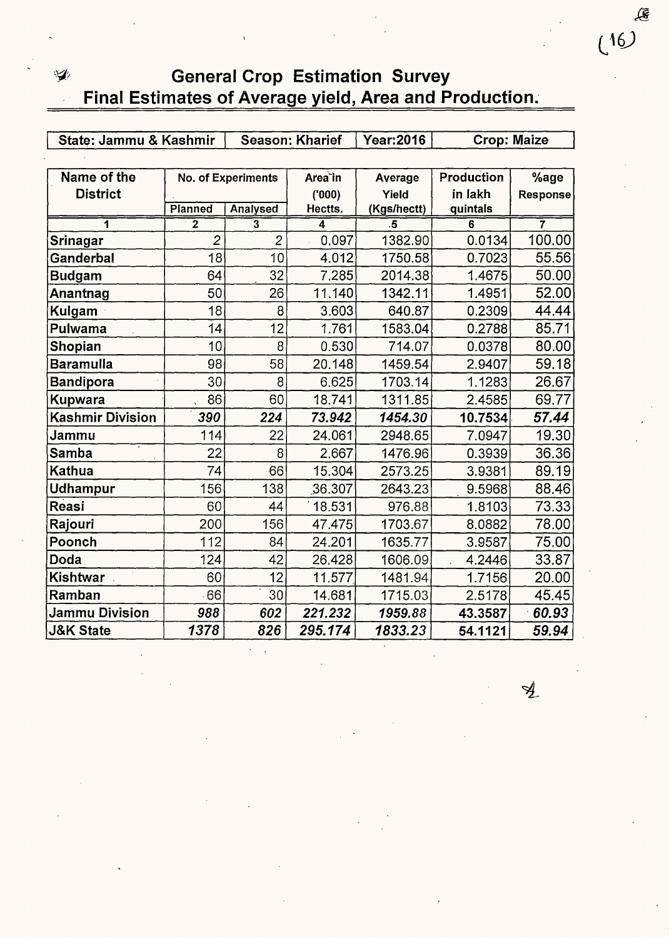## ,~'; General Crop Estimation Survey Final Estimates of Average yield, Area and Production.

| State: Jammu & Kashmir  |                | <b>Season: Kharief</b>    |                     | <b>Year:2016</b> | <b>Crop: Maize</b> |          |
|-------------------------|----------------|---------------------------|---------------------|------------------|--------------------|----------|
|                         |                |                           |                     |                  |                    |          |
| Name of the             |                | <b>No. of Experiments</b> | Area <sup>tin</sup> | Average          | Production         | %age     |
| <b>District</b>         |                |                           | (000)               | Yield            | in lakh            | Response |
|                         | Planned        | Analysed                  | Hectts.             | (Kgs/hectt)      | quintals           |          |
| 1                       | $\overline{2}$ | 3                         | 4                   | .5               | 6                  | 7        |
| Srinagar                | $\overline{2}$ | $\overline{c}$            | 0.097               | 1382.90          | 0.0134             | 100.00   |
| Ganderbal               | 18             | 10                        | 4.012               | 1750.58          | 0.7023             | 55.56    |
| <b>Budgam</b>           | 64             | 32                        | 7.285               | 2014.38          | 1.4675             | 50.00    |
| Anantnag                | 50             | 26                        | 11.140              | 1342.11          | 1.4951             | 52.00    |
| Kulgam                  | 18             | 8                         | 3.603               | 640.87           | 0.2309             | 44.44    |
| Pulwama                 | 14             | 12                        | 1.761               | 1583.04          | 0.2788             | 85.71    |
| Shopian                 | 10             | 8                         | 0.530               | 714.07           | 0.0378             | 80.00    |
| <b>Baramulla</b>        | 98             | 58                        | 20.148              | 1459.54          | 2.9407             | 59.18    |
| <b>Bandipora</b>        | 30             | 8                         | 6.625               | 1703.14          | 1.1283             | 26.67    |
| <b>Kupwara</b>          | 86             | 60                        | 18.741              | 1311.85          | 2.4585             | 69.77    |
| <b>Kashmir Division</b> | 390            | 224                       | 73.942              | 1454.30          | 10.7534            | 57.44    |
| Jammu                   | 114            | 22                        | 24.061              | 2948.65          | 7.0947             | 19.30    |
| Samba                   | 22             | 8                         | 2.667               | 1476.96          | 0.3939             | 36.36    |
| <b>Kathua</b>           | 74             | 66                        | 15.304              | 2573.25          | 3.9381             | 89.19    |
| Udhampur                | 156            | 138                       | 36.307              | 2643.23          | 9.5968             | 88.46    |
| Reasi                   | 60             | 44                        | 18.531              | 976.88           | 1.8103             | 73.33    |
| Rajouri                 | 200            | 156                       | 47.475              | 1703.67          | 8.0882             | 78.00    |
| Poonch                  | 112            | 84                        | 24.201              | 1635.77          | 3.9587             | 75.00    |
| <b>Doda</b>             | 124            | 42                        | 26.428              | 1606.09          | 4.2446             | 33.87    |
| Kishtwar                | 60             | 12                        | 11.577              | 1481.94          | 1.7156             | 20.00    |
| Ramban                  | 66             | 30                        | 14.681              | 1715.03          | 2.5178             | 45.45    |
| Jammu Division          | 988            | 602                       | 221.232             | 1959.88          | 43.3587            | 60.93    |
| <b>J&amp;K State</b>    | 1378           | 826                       | 295.174             | 1833.23          | 54.1121            | 59.94    |

 $\mathcal{A}_{\!\scriptscriptstyle\perp}$ 

€

 $(16)$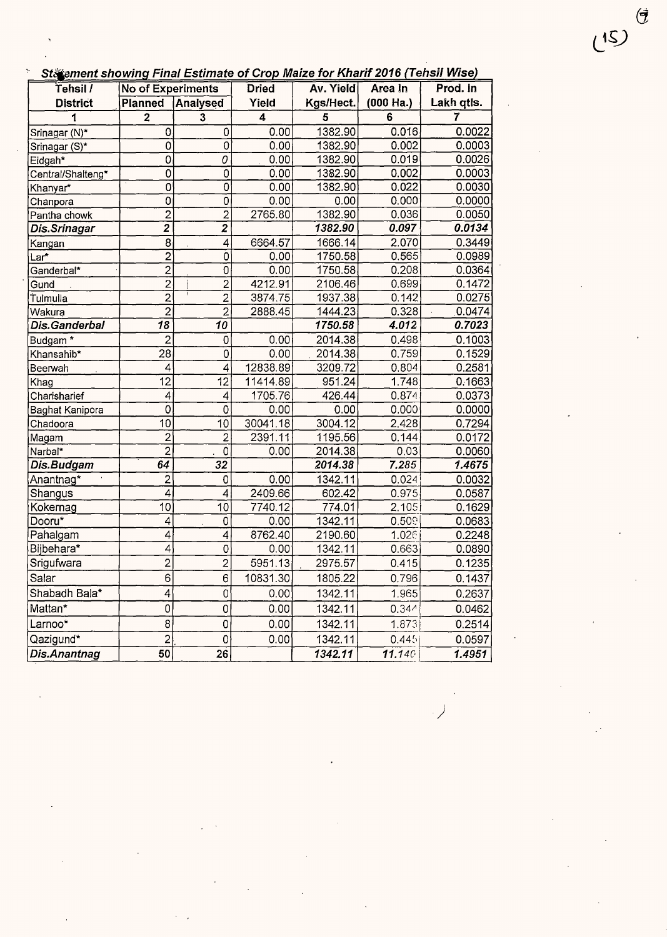| St ament showing Final Estimate of Crop Maize for Kharif 2016 (Tehsil Wise) |
|-----------------------------------------------------------------------------|
|-----------------------------------------------------------------------------|

| out ement showing r mar Estimate of Stop make for futuri 2010 (Tendir Theor<br>Tehsil / | No of Experiments        |                           | <b>Dried</b> | Av. Yield | Area In             | Prod. In   |
|-----------------------------------------------------------------------------------------|--------------------------|---------------------------|--------------|-----------|---------------------|------------|
| <b>District</b>                                                                         | Planned                  | Analysed                  | Yield        | Kgs/Hect. | $(000 \text{ Ha.})$ | Lakh qtls. |
| 1                                                                                       | $\overline{\mathbf{2}}$  | 3                         | 4            | 5         | 6                   | 7          |
| Srinagar (N)*                                                                           | 0                        | 0                         | 0.00         | 1382.90   | 0.016               | 0.0022     |
| Srinagar (S)*                                                                           | 0                        | $\overline{0}$            | 0.00         | 1382.90   | 0.002               | 0.0003     |
| Eidgah*                                                                                 | 0                        | 0                         | 0.00         | 1382.90   | 0.019               | 0.0026     |
| Central/Shalteng*                                                                       | $\mathsf O$              | $\overline{0}$            | 0.00         | 1382.90   | 0.002               | 0.0003     |
| Khanyar*                                                                                | $\overline{0}$           | $\overline{\mathfrak{o}}$ | 0.00         | 1382.90   | 0.022               | 0.0030     |
| Chanpora                                                                                | 0                        | 0                         | 0.00         | 0.00      | 0.000               | 0.0000     |
| Pantha chowk                                                                            | $\overline{2}$           | $\overline{c}$            | 2765.80      | 1382.90   | 0.036               | 0.0050     |
| Dis.Srinagar                                                                            | $\overline{2}$           | $\overline{\mathbf{2}}$   |              | 1382.90   | 0.097               | 0.0134     |
| Kangan                                                                                  | $\overline{8}$           | 4                         | 6664.57      | 1666.14   | 2.070               | 0.3449     |
| Lar*                                                                                    | $\overline{2}$           | $\circ$                   | 0.00         | 1750.58   | 0.565               | 0.0989     |
| Ganderbal*                                                                              | $\overline{2}$           | 0                         | 0.00         | 1750.58   | 0.208               | 0.0364     |
| Gund                                                                                    | $\overline{2}$           | $\overline{2}$            | 4212.91      | 2106.46   | 0.699               | 0.1472     |
| Tulmulla                                                                                | 2                        | $\overline{c}$            | 3874.75      | 1937.38   | 0.142               | 0.0275     |
| Wakura                                                                                  | $\overline{2}$           | $\overline{2}$            | 2888.45      | 1444.23   | 0.328               | 0.0474     |
| Dis.Ganderbal                                                                           | 18                       | 10                        |              | 1750.58   | 4.012               | 0.7023     |
| Budgam*                                                                                 | $\overline{c}$           | 0                         | 0.00         | 2014.38   | 0.498               | 0.1003     |
| Khansahib*                                                                              | $\overline{28}$          | 0                         | 0.00         | 2014.38   | 0.759               | 0.1529     |
| Beerwah                                                                                 | 4                        | $\overline{4}$            | 12838.89     | 3209.72   | 0.804               | 0.2581     |
| Khag                                                                                    | $\overline{12}$          | 12                        | 11414.89     | 951.24    | 1.748               | 0.1663     |
| Charisharief                                                                            | 4                        | 4                         | 1705.76      | 426.44    | 0.874               | 0.0373     |
| Baghat Kanipora                                                                         | 0                        | 0                         | 0.00         | 0.00      | 0.000               | 0.0000     |
| Chadoora                                                                                | 10                       | 10                        | 30041.18     | 3004.12   | 2.428               | 0.7294     |
| Magam                                                                                   | $\overline{c}$           | $\overline{c}$            | 2391.11      | 1195.56   | 0.144               | 0.0172     |
| Narbal*                                                                                 | $\overline{2}$           | $\mathsf 0$               | 0.00         | 2014.38   | 0.03                | 0.0060     |
| Dis.Budgam                                                                              | 64                       | 32                        |              | 2014.38   | 7.285               | 1.4675     |
| Anantnag*                                                                               | $\overline{c}$           | 0                         | 0.00         | 1342.11   | 0.024               | 0.0032     |
| Shangus                                                                                 | 4                        | $\overline{\mathcal{A}}$  | 2409.66      | 602.42    | 0.975               | 0.0587     |
| Kokernag                                                                                | 10                       | 10                        | 7740.12      | 774.01    | 2.105.              | 0.1629     |
| Dooru*                                                                                  | 4                        | 0                         | 0.00         | 1342.11   | 0.509               | 0.0683     |
| Pahalgam                                                                                | 4                        | $\overline{\mathbf{4}}$   | 8762.40      | 2190.60   | 1.026               | 0.2248     |
| Bijbehara*                                                                              | $\overline{\mathcal{A}}$ | 0                         | 0.00         | 1342.11   | 0.663               | 0.0890     |
| Srigufwara                                                                              | $\overline{2}$           | $\overline{2}$            | 5951.13      | 2975.57   | 0.415               | 0.1235     |
| Salar                                                                                   | 6                        | 6                         | 10831.30     | 1805.22   | 0.796               | 0.1437     |
| Shabadh Bala*                                                                           | 4                        | 0                         | 0.00         | 1342.11   | 1.965               | 0.2637     |
| Mattan*                                                                                 | $\mathbf 0$              | 0                         | 0.00         | 1342.11   | 0.344               | 0.0462     |
| Larnoo*                                                                                 | 8                        | 0                         | 0.00         | 1342.11   | 1.873               | 0.2514     |
| Qazigund*                                                                               | $\overline{c}$           | $\mathbf 0$               | 0.00         | 1342.11   | 0.445               | 0.0597     |
| Dis.Anantnag                                                                            | 50                       | $\overline{26}$           |              | 1342.11   | 11.140              | 1.4951     |

 $\overline{\phantom{0}}$ 

 $\begin{pmatrix} 15 \end{pmatrix}$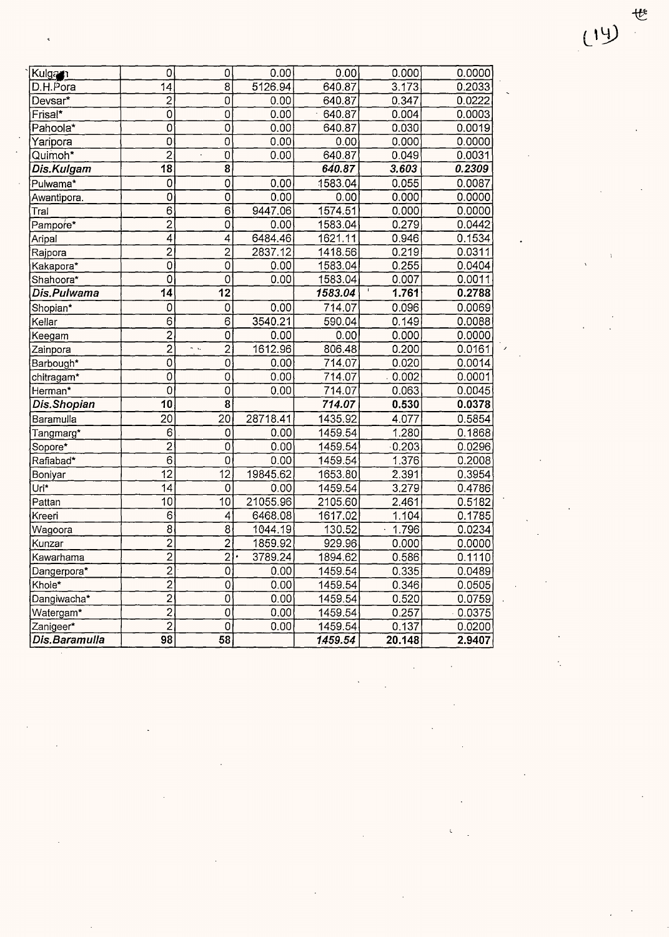| Kulgan               | 0                              | $\mathbf 0$                     | 0.00     | 0.00    | 0.000             | 0.0000 |
|----------------------|--------------------------------|---------------------------------|----------|---------|-------------------|--------|
| D.H.Pora             | 14                             | 8                               | 5126.94  | 640.87  | 3.173             | 0.2033 |
| Devsar*              | $\overline{2}$                 | $\overline{0}$                  | 0.00     | 640.87  | 0.347             | 0.0222 |
| Frisal*              | $\overline{0}$                 | $\hbox{O}$                      | 0.00     | 640.87  | 0.004             | 0.0003 |
| Pahoola <sup>*</sup> | $\overline{0}$                 | $\mathsf O$                     | 0.00     | 640.87  | 0.030             | 0.0019 |
| Yaripora             | $\overline{O}$                 | $\overline{0}$                  | 0.00     | 0.00    | 0.000             | 0.0000 |
| Quimoh*              | $\overline{2}$                 | $\overline{0}$                  | 0.00     | 640.87  | 0.049             | 0.0031 |
| Dis.Kulgam           | $\overline{18}$                | 8                               |          | 640.87  | 3.603             | 0.2309 |
| Pulwama*             | $\overline{0}$                 | $\overline{0}$                  | 0.00     | 1583.04 | 0.055             | 0.0087 |
| Awantipora.          | $\mathbf 0$                    | $\mathbf 0$                     | 0.00     | 0.00    | 0.000             | 0.0000 |
| Tral                 | $\overline{6}$                 | $\overline{6}$                  | 9447.06  | 1574.51 | 0.000             | 0.0000 |
| Pampore*             | $\overline{2}$                 | $\circ$                         | 0.00     | 1583.04 | 0.279             | 0.0442 |
| Aripal               | $\overline{4}$                 | $\overline{\mathcal{L}}$        | 6484.46  | 1621.11 | 0.946             | 0.1534 |
| Rajpora              | $\overline{2}$                 | $\overline{2}$                  | 2837.12  | 1418.56 | 0.219             | 0.0311 |
| Kakapora*            | $\overline{0}$                 | $\overline{O}$                  | 0.00     | 1583.04 | 0.255             | 0.0404 |
| Shahoora*            | $\bar{0}$                      | $\mathbf 0$                     | 0.00     | 1583.04 | 0.007             | 0.0011 |
| Dis.Pulwama          | 14                             | $\overline{12}$                 |          | 1583.04 | $\Gamma$<br>1.761 | 0.2788 |
| Shopian*             | 0                              | $\mathbf 0$                     | 0.00     | 714.07  | 0.096             | 0.0069 |
| Kellar               | 6                              | $\overline{6}$                  | 3540.21  | 590.04  | 0.149             | 0.0088 |
| Keegam               | $\overline{2}$                 | 0                               | 0.00     | 0.00    | 0.000             | 0.0000 |
| Zainpora             | $\overline{2}$                 | $\overline{2}$<br>$\sim$ $\sim$ | 1612.96  | 806.48  | 0.200             | 0.0161 |
| Barbough*            | 0                              | 0                               | 0.00     | 714.07  | 0.020             | 0.0014 |
| chitragam*           | Ō                              | $\circ$                         | 0.00     | 714.07  | 0.002             | 0.0001 |
| Herman*              | $\overline{0}$                 | 0                               | 0.00     | 714.07  | 0.063             | 0.0045 |
| Dis.Shopian          | 10                             | 8                               |          | 714.07  | 0.530             | 0.0378 |
| Baramulla            | 20                             | 20                              | 28718.41 | 1435.92 | 4.077             | 0.5854 |
| Tangmarg*            | 6                              | 0                               | 0.00     | 1459.54 | 1.280             | 0.1868 |
| Sopore*              | $\overline{2}$                 | $\mathbf{0}$                    | 0.00     | 1459.54 | 0.203             | 0.0296 |
| Rafiabad*            | $\overline{6}$                 | 0                               | 0.00     | 1459.54 | 1.376             | 0.2008 |
| Boniyar              | 12                             | 12                              | 19845.62 | 1653.80 | 2.391             | 0.3954 |
| Uri*                 | 14                             | 0                               | 0.00     | 1459.54 | 3.279             | 0.4786 |
| Pattan               | 10                             | 10                              | 21055.96 | 2105.60 | 2,461             | 0.5182 |
| Kreeri               | $6\phantom{a}$                 | $\overline{4}$                  | 6468.08  | 1617.02 | 1.104             | 0.1785 |
| Wagoora              | $\bar{8}$                      | $\overline{8}$                  | 1044.19  | 130.52  | 1.796             | 0.0234 |
| Kunzar               | $\overline{2}$                 | $\overline{2}$                  | 1859.92  | 929.96  | 0.000             | 0.0000 |
| Kaw <u>arhama</u>    | $\overline{2}$                 | $\overline{2}$                  | 3789.24  | 1894.62 | 0.586             | 0.1110 |
| Dangerpora*          | $\overline{2}$                 | 0                               | 0.00     | 1459.54 | 0.335             | 0.0489 |
| Khole*               |                                | 0                               | 0.00     | 1459.54 | 0.346             | 0.0505 |
| Dangiwacha*          | $\frac{2}{2}$<br>$\frac{2}{2}$ | 0                               | 0.00     | 1459.54 | 0.520             | 0.0759 |
| Watergam*            |                                | $\mathbf 0$                     | 0.00     | 1459.54 | 0.257             | 0.0375 |
| Zanigeer*            | $\overline{2}$                 | $\pmb{0}$                       | 0.00     | 1459.54 | 0.137             | 0.0200 |
| Dis.Baramulla        | 98                             | 58                              |          | 1459.54 | 20.148            | 2.9407 |

 $(14)$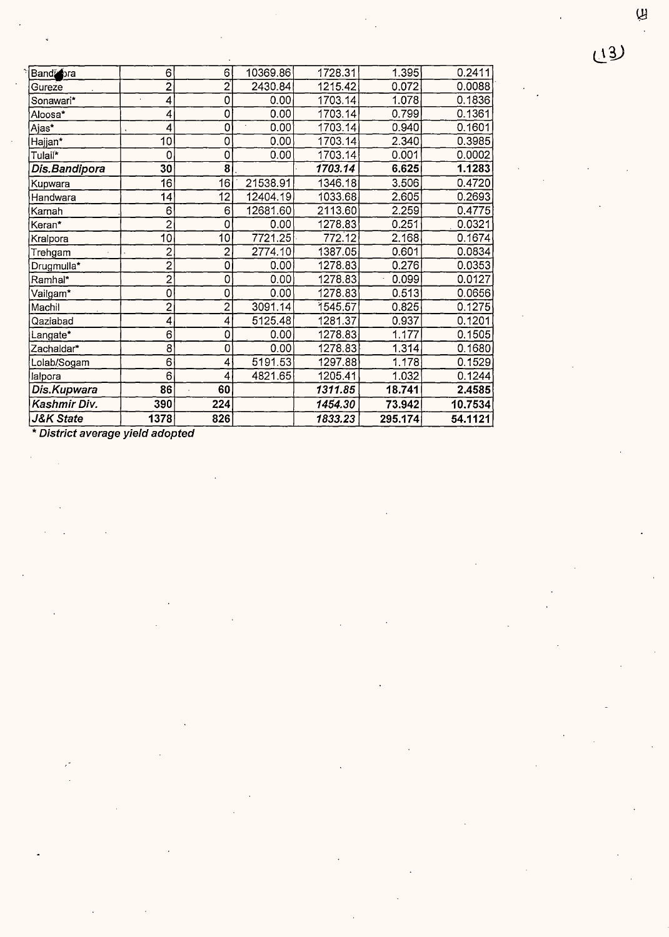$\varphi$ 

| Band ora             | 6                       | 6 <sup>1</sup>                | 10369.86 | 1728.31 | 1.395   | 0.2411  |
|----------------------|-------------------------|-------------------------------|----------|---------|---------|---------|
| Gureze               | $\overline{2}$          | $\mathbf{2}^{\mathbf{\cdot}}$ | 2430.84  | 1215.42 | 0.072   | 0.0088  |
| Sonawari*            | 4                       | 0                             | 0.00     | 1703.14 | 1.078   | 0.1836  |
| Aloosa*              | 4                       | 0                             | 0.00     | 1703.14 | 0.799   | 0.1361  |
| Ajas*                | 4                       | 0                             | 0.00     | 1703.14 | 0.940   | 0.1601  |
| Hajjan*              | 10                      | 0                             | 0.00     | 1703.14 | 2.340   | 0.3985  |
| Tulail*              | 0                       | 0                             | 0.00     | 1703.14 | 0.001   | 0.0002  |
| Dis.Bandipora        | 30                      | 8 <sup>1</sup>                |          | 1703.14 | 6.625   | 1.1283  |
| Kupwara              | 16                      | 16                            | 21538.91 | 1346.18 | 3.506   | 0.4720  |
| Handwara             | 14                      | 12                            | 12404.19 | 1033.68 | 2.605   | 0.2693  |
| Karnah               | 6                       | 6                             | 12681.60 | 2113.60 | 2.259   | 0.4775  |
| Keran*               | $\overline{2}$          | 0                             | 0.00     | 1278.83 | 0.251   | 0.0321  |
| Kralpora             | 10 <sub>1</sub>         | 10                            | 7721.25  | 772.12  | 2.168   | 0.1674  |
| Trehgam              | $\overline{\mathbf{c}}$ | 2                             | 2774.10  | 1387.05 | 0.601   | 0.0834  |
| Drugmulla*           | $\overline{2}$          | 0                             | 0.00     | 1278.83 | 0.276   | 0.0353  |
| Ramhal*              | $\overline{2}$          | 0                             | 0.00     | 1278.83 | 0.099   | 0.0127  |
| Vailgam*             | 0                       | 0                             | 0.00     | 1278.83 | 0.513   | 0.0656  |
| Machil               | $\overline{c}$          | $\overline{2}$                | 3091.14  | 1545.57 | 0.825   | 0.1275  |
| Qaziabad             | 4                       | 4                             | 5125.48  | 1281.37 | 0.937   | 0.1201  |
| Langate*             | 6                       | 0                             | 0.00     | 1278.83 | 1.177   | 0.1505  |
| Zachaldar*           | 8                       | 0                             | 0.00     | 1278.83 | 1.314   | 0.1680  |
| Lolab/Sogam          | 6                       | 4                             | 5191.53  | 1297.88 | 1.178   | 0.1529  |
| lalpora              | 6                       | 4                             | 4821.65  | 1205.41 | 1.032   | 0.1244  |
| Dis.Kupwara          | 86                      | 60                            |          | 1311.85 | 18.741  | 2.4585  |
| Kashmir Div.         | 390                     | 224                           |          | 1454.30 | 73.942  | 10.7534 |
| <b>J&amp;K State</b> | 1378                    | 826                           |          | 1833.23 | 295.174 | 54.1121 |

\* **District average yield adopted**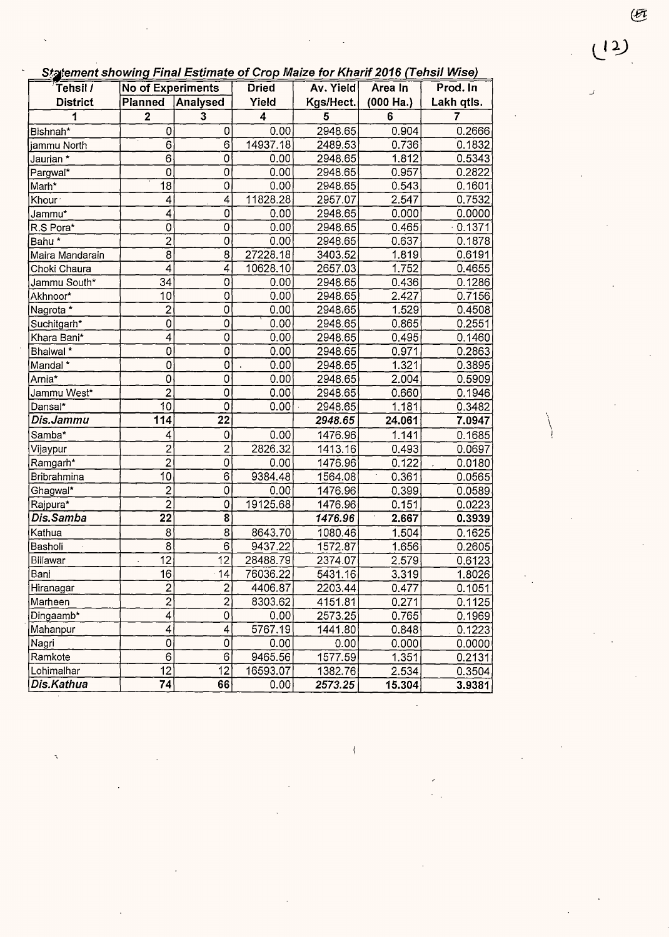**Statement showing Final Estimate of Crop Maize for Kharif 2016 (Tehsil Wise)** 

| content choming I may be annually on opp make for fundity 2010 (Form 18:100)<br>Tehsil / | No of Experiments       |                          | <b>Dried</b>     | Av. Yield | Area In   | Prod. In   |
|------------------------------------------------------------------------------------------|-------------------------|--------------------------|------------------|-----------|-----------|------------|
| <b>District</b>                                                                          | <b>Planned</b>          | Analysed                 | Yield            | Kgs/Hect. | (000 Ha.) | Lakh qtls. |
| 1                                                                                        | $\mathbf 2$             | $\overline{\mathbf{3}}$  | $\boldsymbol{4}$ | 5         | $\bf 6$   | 7          |
| Bishnah*                                                                                 | 0                       | 0                        | 0.00             | 2948.65   | 0.904     | 0.2666     |
| jammu North                                                                              | 6                       | $\overline{6}$           | 14937.18         | 2489.53   | 0.736     | 0.1832     |
| Jaurian *                                                                                | 6                       | $\mathbf 0$              | 0.00             | 2948.65   | 1.812     | 0.5343     |
| Pargwal*                                                                                 | 0                       | $\mathbf 0$              | 0.00             | 2948.65   | 0.957     | 0.2822     |
| Marh*                                                                                    | 18                      | $\mathsf{O}\xspace$      | 0.00             | 2948.65   | 0.543     | 0.1601     |
| Khour <sup>-</sup>                                                                       | 4                       | 4                        | 11828.28         | 2957.07   | 2.547     | 0.7532     |
| Jammu*                                                                                   | 4                       | $\overline{0}$           | 0.00             | 2948.65   | 0.000     | 0.0000     |
| R.S Pora*                                                                                | 0                       | $\mathbf 0$              | 0.00             | 2948.65   | 0.465     | $-0.1371$  |
| Bahu <sup>*</sup>                                                                        | 2                       | $\overline{0}$           | 0.00             | 2948.65   | 0.637     | 0.1878     |
| Maira Mandarain                                                                          | $\overline{8}$          | $\overline{8}$           | 27228.18         | 3403.52   | 1.819     | 0.6191     |
| Choki Chaura                                                                             | 4                       | 4                        | 10628.10         | 2657.03   | 1.752     | 0.4655     |
| Jammu South*                                                                             | 34                      | $\mathsf{O}\xspace$      | 0.00             | 2948.65   | 0.436     | 0.1286     |
| Akhnoor*                                                                                 | 10 <sup>1</sup>         | $\overline{0}$           | 0.00             | 2948.65   | 2.427     | 0.7156     |
| Nagrota *                                                                                | $\overline{\mathbf{c}}$ | $\mathsf 0$              | 0.00             | 2948.65   | 1.529     | 0.4508     |
| Suchitgarh*                                                                              | 0                       | $\overline{\text{o}}$    | 0.00             | 2948.65   | 0.865     | 0.2551     |
| Khara Bani*                                                                              | 4                       | 0                        | 0.00             | 2948.65   | 0.495     | 0.1460     |
| Bhalwal <sup>*</sup>                                                                     | 0                       | $\mathbf 0$              | 0.00             | 2948.65   | 0.971     | 0.2863     |
| Mandal*                                                                                  | 0                       | $\pmb{0}$                | 0.00             | 2948.65   | 1.321     | 0.3895     |
| Arnia*                                                                                   | 0                       | $\mathsf{O}\xspace$      | 0.00             | 2948.65   | 2.004     | 0.5909     |
| Jammu West*                                                                              | $\overline{2}$          | $\overline{0}$           | 0.00             | 2948.65   | 0.660     | 0.1946     |
| Dansal*                                                                                  | 10                      | $\overline{0}$           | 0.00             | 2948.65   | 1.181     | 0.3482     |
| Dis.Jammu                                                                                | 114                     | $\overline{22}$          |                  | 2948.65   | 24.061    | 7.0947     |
| Samba*                                                                                   | 4                       | $\mathbf 0$              | 0.00             | 1476.96   | 1.141     | 0.1685     |
| Vijaypur                                                                                 | $\overline{c}$          | $\overline{2}$           | 2826.32          | 1413.16   | 0.493     | 0.0697     |
| Ramgarh*                                                                                 | $\bar{2}$               | $\overline{0}$           | 0.00             | 1476.96   | 0.122     | 0.0180     |
| Bribrahmina                                                                              | 10 <sub>1</sub>         | $\mathbf 6$              | 9384.48          | 1564.08   | 0.361     | 0.0565     |
| Ghagwal*                                                                                 | $\overline{2}$          | 0                        | 0.00             | 1476.96   | 0.399     | 0.0589     |
| Rajpura*                                                                                 | $\overline{c}$          | 0                        | 19125.68         | 1476.96   | 0.151     | 0.0223     |
| Dis.Samba                                                                                | $\overline{22}$         | $\overline{8}$           |                  | 1476.96   | 2.667     | 0.3939     |
| Kathua                                                                                   | 8 <sup>1</sup>          | $\overline{8}$           | 8643.70          | 1080.46   | 1.504     | 0.1625     |
| Basholi                                                                                  | $\overline{8}$          | $\overline{6}$           | 9437.22          | 1572.87   | 1.656     | 0.2605     |
| Billawar                                                                                 | $\overline{12}$         | 12                       | 28488.79         | 2374.07   | 2.579     | 0.6123     |
| Bani                                                                                     | 16                      | 14                       | 76036.22         | 5431.16   | 3.319     | 1.8026     |
| Hiranagar                                                                                | $\overline{\mathbf{c}}$ | $\overline{\mathbf{c}}$  | 4406.87          | 2203.44   | 0.477     | 0.1051     |
| Marheen                                                                                  | $\overline{2}$          | $\overline{2}$           | 8303.62          | 4151.81   | 0.271     | 0.1125     |
| Dingaamb*                                                                                | $\vert 4 \vert$         | $\mathsf{O}\xspace$      | 0.00             | 2573.25   | 0.765     | 0.1969     |
| Mahanpur                                                                                 | 4                       | $\overline{\mathcal{L}}$ | 5767.19          | 1441.80   | 0.848     | 0.1223     |
| Nagri                                                                                    | $\mathbf{0}$            | $\mathsf{O}\xspace$      | 0.00             | 0.00      | 0.000     | 0.0000     |
| Ramkote                                                                                  | $\overline{6}$          | $\overline{6}$           | 9465.56          | 1577.59   | 1.351     | 0.2131     |
| Lohimalhar                                                                               | $\overline{12}$         | 12                       | 16593.07         | 1382.76   | 2.534     | 0.3504     |
| Dis.Kathua                                                                               | 74                      | 66                       | 0.00             | 2573.25   | 15.304    | 3.9381     |

 $\overline{(\cdot)}$ 

 $(12)$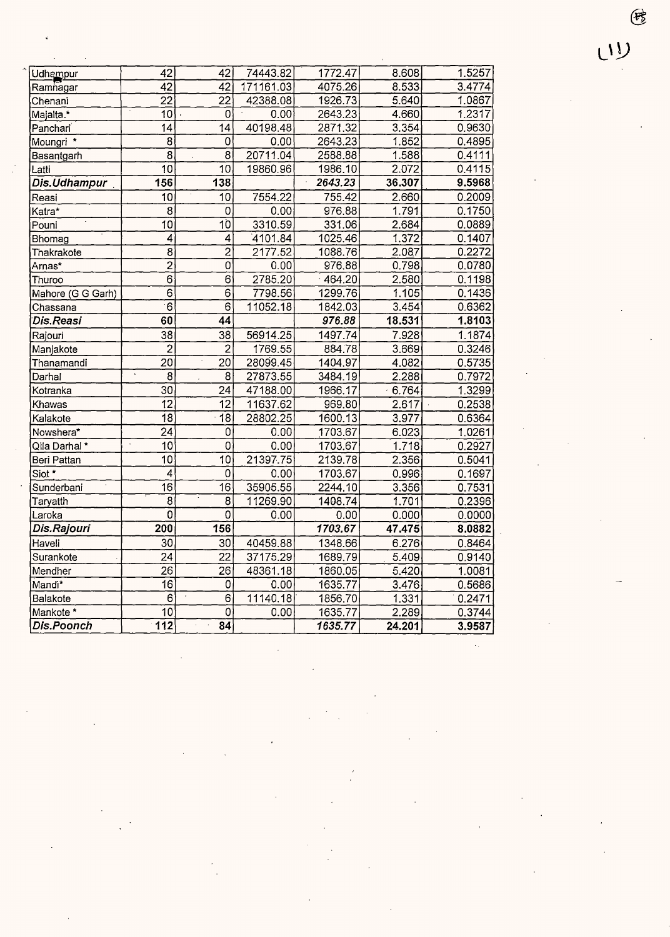| Udhampur          | 42                       | 42                       | 74443.82  | 1772.47   | 8.608              | 1.5257 |
|-------------------|--------------------------|--------------------------|-----------|-----------|--------------------|--------|
| Ramnagar          | $\overline{42}$          | 42                       | 171161.03 | 4075.26   | 8.533              | 3.4774 |
| Chenani           | $\overline{22}$          | $\overline{22}$          | 42388.08  | 1926.73   | 5.640              | 1.0867 |
| Majalta.*         | $\overline{10}$          | $\mathbf 0$              | 0.00      | 2643.23   | 4.660              | 1.2317 |
| Panchari          | 14                       | 14                       | 40198.48  | 2871.32   | 3.354              | 0.9630 |
| Moungri *         | 8                        | $\mathbf 0$              | 0.00      | 2643.23   | 1.852              | 0.4895 |
| Basantgarh        | $\overline{8}$           | $\bar{8}$                | 20711.04  | 2588.88   | 1.588              | 0.4111 |
| Latti             | $\overline{10}$          | $\overline{10}$          | 19860.96  | 1986.10   | 2.072              | 0.4115 |
| Dis.Udhampur      | 156                      | 138                      |           | 2643.23   | 36.307             | 9.5968 |
| Reasi             | 10                       | 10                       | 7554.22   | 755.42    | 2.660              | 0.2009 |
| Katra*            | 8                        | 0                        | 0.00      | 976.88    | 1.791              | 0.1750 |
| Pouni             | 10                       | $\overline{10}$          | 3310.59   | 331.06    | 2.684              | 0.0889 |
| Bhomag            | 4                        | $\overline{\mathcal{L}}$ | 4101.84   | 1025.46   | 1.372              | 0.1407 |
| Thakrakote        | 8                        | $\overline{2}$           | 2177.52   | 1088.76   | 2.087              | 0.2272 |
| Arnas*            | $\overline{2}$           | $\overline{0}$           | 0.00      | 976.88    | 0.798              | 0.0780 |
| Thuroo            | $\overline{6}$           | $\overline{6}$           | 2785.20   | $-464.20$ | 2.580              | 0.1198 |
| Mahore (G G Garh) | $\overline{6}$           | $\overline{6}$           | 7798.56   | 1299.76   | 1.105              | 0.1436 |
| Chassana          | $\overline{6}$           | $\overline{6}$           | 11052.18  | 1842.03   | 3.454              | 0.6362 |
| <b>Dis.Reasi</b>  | 60                       | 44                       |           | 976.88    | 18.531             | 1.8103 |
| Rajouri           | $\overline{38}$          | $\overline{38}$          | 56914.25  | 1497.74   | 7.928              | 1.1874 |
| Manjakote         | $\overline{2}$           | $\overline{c}$           | 1769.55   | 884.78    | 3.669              | 0.3246 |
| Thanamandi        | 20                       | 20                       | 28099.45  | 1404.97   | 4.082              | 0.5735 |
| Darhal            | $\overline{8}$           | $\overline{\bf 8}$       | 27873.55  | 3484.19   | 2.288              | 0.7972 |
| Kotranka          | 30                       | 24                       | 47188.00  | 1966.17   | 6.764              | 1.3299 |
| Khawas            | $\overline{12}$          | 12                       | 11637.62  | 969.80    | 2.617              | 0.2538 |
| Kalakote          | 18                       | 18                       | 28802.25  | 1600.13   | 3.977              | 0.6364 |
| Nowshera*         | 24                       | 0                        | 0.00      | 1703.67   | 6.023              | 1.0261 |
| Qila Darhal *     | $\hat{\textbf{r}}$<br>10 | $\overline{0}$           | 0.00      | 1703.67   | 1.718              | 0.2927 |
| Beri Pattan       | $\overline{10}$          | 10                       | 21397.75  | 2139.78   | 2.356              | 0.5041 |
| Siot *            | 4                        | $\mathbf 0$              | 0.00      | 1703.67   | 0.996              | 0.1697 |
| Sunderbani        | $\overline{16}$          | $\overline{16}$          | 35905.55  | 2244.10   | 3.356              | 0.7531 |
| Taryatth          | 8                        | $\overline{8}$           | 11269.90  | 1408.74   | 1.701              | 0.2396 |
| Laroka            | 0                        | $\overline{0}$           | 0.00      | 0.00      | 0.000              | 0.0000 |
| Dis.Rajouri       | 200                      | 156                      |           | 1703.67   | 47.475             | 8.0882 |
| Haveli            | 30                       | 30                       | 40459.88  | 1348.66   | 6.276              | 0.8464 |
| Surankote         | $\overline{24}$          | $\bar{22}$               | 37175.29  | 1689.79   | 5.409              | 0.9140 |
| Mendher           | $\overline{26}$          | 26                       | 48361.18  | 1860.05   | 5.420              | 1.0081 |
| Mandi*            | 16                       | 0                        | 0.00      | 1635.77   | 3.476              | 0.5686 |
| Balakote          | 6                        | $\epsilon$<br>6          | 11140.18  | 1856.70   | $1.\overline{331}$ | 0.2471 |
| Mankote*          | 10                       | $\mathsf 0$              | 0.00      | 1635.77   | 2.289              | 0.3744 |
| Dis.Poonch        | $\overline{112}$         | $\overline{84}$          |           | 1635.77   | 24.201             | 3.9587 |

 $\circledast$ 

 $UU$ 

l,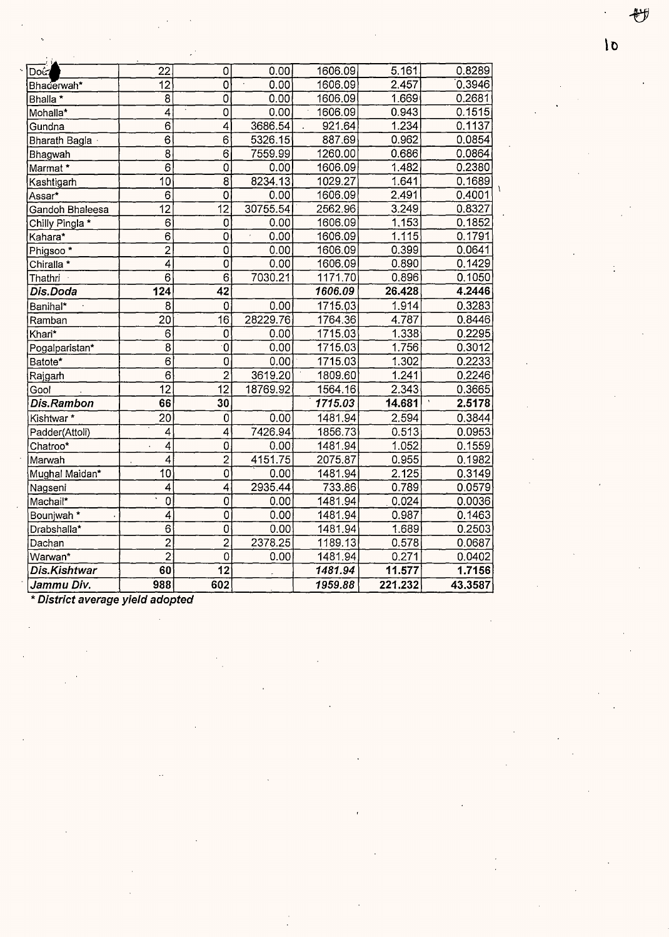| Doi:                 | 22              | 0                     | 0.00     | 1606.09 | 5.161   | 0.8289  |
|----------------------|-----------------|-----------------------|----------|---------|---------|---------|
| Bhaderwah*           | 12              | $\mathbf 0$           | 0.00     | 1606.09 | 2.457   | 0.3946  |
| Bhalla *             | $\overline{8}$  | $\overline{0}$        | 0.00     | 1606.09 | 1.669   | 0.2681  |
| Mohalla*             | $\overline{4}$  | $\overline{0}$        | 0.00     | 1606.09 | 0.943   | 0.1515  |
| Gundna               | $\overline{6}$  | $\mathbf{4}^{\prime}$ | 3686.54  | 921.64  | 1.234   | 0.1137  |
| Bharath Bagla ·      | 6               | 6                     | 5326.15  | 887.69  | 0.962   | 0.0854  |
| Bhagwah              | $\overline{8}$  | $\overline{6}$        | 7559.99  | 1260.00 | 0.686   | 0.0864  |
| Marmat *             | 6               | 0                     | 0.00     | 1606.09 | 1.482   | 0.2380  |
| Kashtigarh           | 10              | 8                     | 8234.13  | 1029.27 | 1.641   | 0.1689  |
| Assar*               | 6               | 0                     | 0.00     | 1606.09 | 2.491   | 0.4001  |
| Gandoh Bhaleesa      | $\overline{12}$ | $\overline{12}$       | 30755.54 | 2562.96 | 3.249   | 0.8327  |
| Chilly Pingla *      | 6               | 0                     | 0.00     | 1606.09 | 1.153   | 0.1852  |
| Kahara*              | 6               | 0                     | 0.00     | 1606.09 | 1.115   | 0.1791  |
| Phigsoo <sup>*</sup> | $\overline{2}$  | 0                     | 0.00     | 1606.09 | 0.399   | 0.0641  |
| Chiralla *           | 4               | $\overline{0}$        | 0.00     | 1606.09 | 0.890   | 0.1429  |
| Thathri              | 6               | $\overline{6}$        | 7030.21  | 1171.70 | 0.896   | 0.1050  |
| Dis.Doda             | 124             | 42                    |          | 1606.09 | 26.428  | 4.2446  |
| Banihal*             | 8               | $\mathbf 0$           | 0.00     | 1715.03 | 1.914   | 0.3283  |
| Ramban               | $\overline{20}$ | $\overline{16}$       | 28229.76 | 1764.36 | 4.787   | 0.8446  |
| Khari*               | 6               | 0                     | 0.00     | 1715.03 | 1.338   | 0.2295  |
| Pogalparistan*       | 8               | $\mathbf 0$           | 0.00     | 1715.03 | 1.756   | 0.3012  |
| Batote*              | $\overline{6}$  | $\overline{0}$        | 0.00     | 1715.03 | 1.302   | 0.2233  |
| Rajgarh              | $\overline{6}$  | $\overline{2}$        | 3619.20  | 1809.60 | 1.241   | 0.2246  |
| Gool                 | 12              | $\overline{12}$       | 18769.92 | 1564.16 | 2.343   | 0.3665  |
| Dis.Rambon           | 66              | 30                    |          | 1715.03 | 14.681  | 2.5178  |
| Kishtwar*            | 20              | 0                     | 0.00     | 1481.94 | 2.594   | 0.3844  |
| Padder(Attoli)       | 4               | 4                     | 7426.94  | 1856.73 | 0.513   | 0.0953  |
| Chatroo*             | 4               | $\overline{0}$        | 0.00     | 1481.94 | 1.052   | 0.1559  |
| Marwah               | 4<br>ä,         | $\overline{2}$        | 4151.75  | 2075.87 | 0.955   | 0.1982  |
| Mughal Maidan*       | 10              | $\overline{0}$        | 0.00     | 1481.94 | 2.125   | 0.3149  |
| Nagseni              | 4               | 4                     | 2935.44  | 733.86  | 0.789   | 0.0579  |
| Machail*             | 0               | 0                     | 0.00     | 1481.94 | 0.024   | 0.0036  |
| Bounjwah *           | 4               | 0                     | 0.00     | 1481.94 | 0.987   | 0.1463  |
| Drabshalla*          | $\overline{6}$  | $\overline{0}$        | 0.00     | 1481.94 | 1.689   | 0.2503  |
| Dachan               | $\overline{2}$  | $\overline{2}$        | 2378.25  | 1189.13 | 0.578   | 0.0687  |
| Warwan*              | $\overline{2}$  | $\overline{0}$        | 0.00     | 1481.94 | 0.271   | 0.0402  |
| Dis.Kishtwar         | 60              | $\overline{12}$       |          | 1481.94 | 11.577  | 1.7156  |
| Jammu Div.           | 988             | 602                   |          | 1959.88 | 221.232 | 43.3587 |

\* **District average yield adopted** 

妙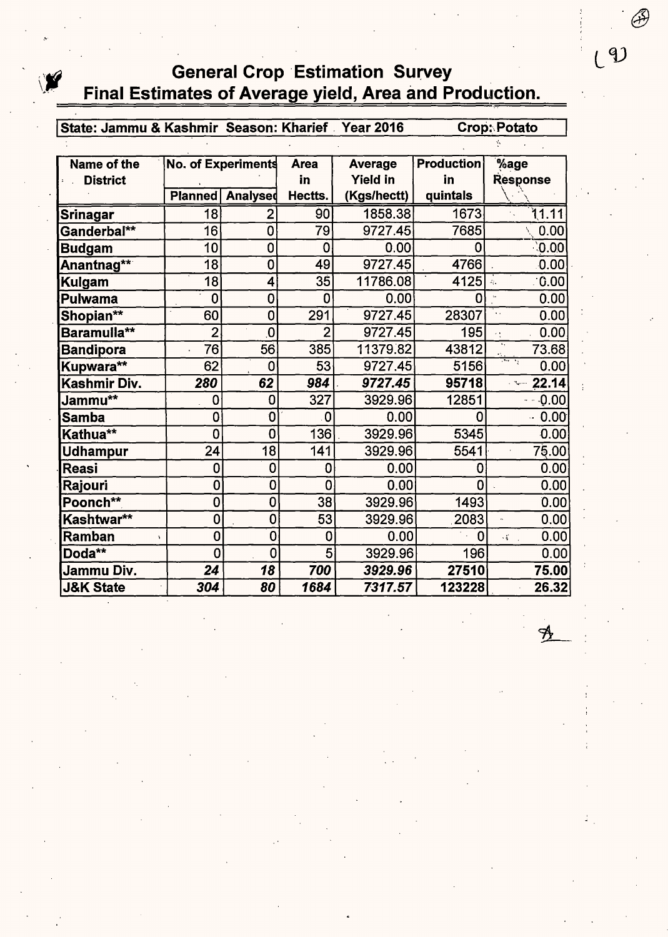## **General Crop Estimation Survey** Final Estimates of Average yield, Area and Production.

State: Jammu & Kashmir Season: Kharief Year 2016 Crop: Potato

| Name of the             |                | <b>No. of Experiments</b> | <b>Area</b>     | Average         | <b>Production</b> | %age                                              |
|-------------------------|----------------|---------------------------|-----------------|-----------------|-------------------|---------------------------------------------------|
| <b>District</b>         |                |                           | in              | <b>Yield in</b> | in                | <b>Response</b>                                   |
|                         | <b>Planned</b> | <b>Analysed</b>           | Hectts.         | (Kgs/hectt)     | quintals          |                                                   |
| <b>Srinagar</b>         | 18             | 2                         | 90              | 1858.38         | 1673              | 11.11                                             |
| Ganderbal**             | 16             | 0                         | 79              | 9727.45         | 7685              | 0.00                                              |
| <b>Budgam</b>           | 10             | 0                         | 0               | 0.00            | 0                 | 0.00                                              |
| Anantnag** <sup>*</sup> | 18             | $\overline{0}$            | 49              | 9727.45         | 4766              | 0.00                                              |
| Kulgam                  | 18             | 4                         | 35 <sup>2</sup> | 11786.08        | 4125              | 0.00<br>$\mathcal{L}_{\mathcal{E}}$               |
| <b>Pulwama</b>          | 0              | 0                         | 0               | 0.00            | ŋ                 | 0.00                                              |
| Shopian**               | 60             | $\mathbf 0$               | 291             | 9727.45         | 28307             | 0.00<br>$\ddot{\phantom{a}}$                      |
| Baramulla**             | $\overline{2}$ | $\overline{\mathbf{0}}$   | 2               | 9727.45         | 195               | 0.00<br>ćţ.                                       |
| <b>Bandipora</b>        | 76             | 56                        | 385             | 11379.82        | 43812             | ٠,<br>73.68                                       |
| Kupwara**               | 62             | $\Omega$                  | 53              | 9727.45         | 5156              | أتحرج ومنون<br>0.00                               |
| Kashmir Div.            | 280            | 62                        | 984             | 9727.45         | 95718             | 22.14<br>Literature                               |
| Jammu**                 | 0              | 0                         | 327             | 3929.96         | 12851             | 0.00                                              |
| <b>Samba</b>            | 0              | 0                         | 0               | 0.00            | n                 | 0.00<br>$\ddot{\phantom{a}}$                      |
| Kathua**                | $\overline{0}$ | O                         | 136             | 3929.96         | 5345              | 0.00                                              |
| <b>Udhampur</b>         | 24             | 18                        | 141             | 3929.96         | 5541              | 75.00<br>$\cdot$                                  |
| <b>Reasi</b>            | 0              | 0                         | 0               | 0.00            | 0                 | 0.00                                              |
| Rajouri                 | 0              | 0                         | 0               | 0.00            | O                 | 0.00                                              |
| Poonch**                | 0              | 0                         | 38              | 3929.96         | 1493              | 0.00                                              |
| Kashtwar**              | 0              | $\overline{0}$            | 53              | 3929.96         | 2083              | 0.00<br>$\mathbf{a}$                              |
| Ramban                  | 0              | 0                         | 0               | 0.00            | $\overline{0}$    | 0.00<br>$\mathcal{L}_{\mathbf{r}}^{\mathbf{r}}$ . |
| Doda**                  | 0              | 0                         | 5               | 3929.96         | 196               | 0.00                                              |
| Jammu Div.              | 24             | 18                        | 700             | 3929.96         | 27510             | 75.00                                             |
| <b>J&amp;K State</b>    | 304            | 80                        | 1684            | 7317.57         | 123228            | 26.32                                             |

 $(9)$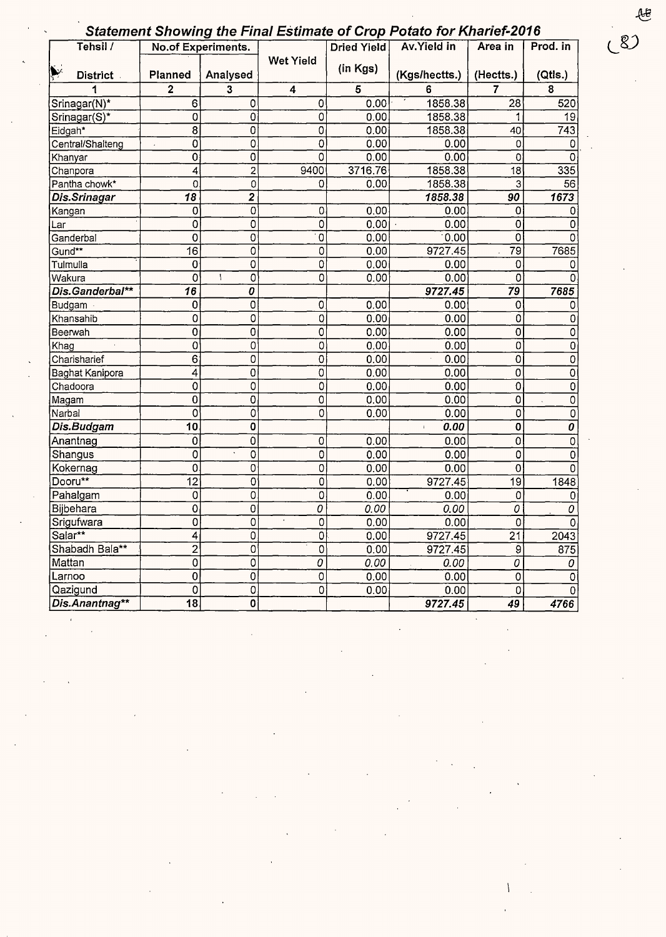| <b>Statement Showing the Final Estimate of Crop Potato for Kharief-2016</b> |  |  |  |
|-----------------------------------------------------------------------------|--|--|--|
|                                                                             |  |  |  |

|                  |                 | <b>No.of Experiments.</b> |                  | Dried Yield | Av. Yield in           | Area in             | Prod. in       |
|------------------|-----------------|---------------------------|------------------|-------------|------------------------|---------------------|----------------|
| <b>District</b>  | <b>Planned</b>  | Analysed                  | <b>Wet Yield</b> | (in Kgs)    | (Kgs/hectts.)          | (Hectts.)           | (Qtls.)        |
| 1                | $\overline{2}$  | $\overline{\mathbf{3}}$   | $\boldsymbol{4}$ | 5           | 6                      | 7                   | 8              |
| Srinagar(N)*     | 6               | 0                         | 0                | 0.00        | 1858.38                | 28                  | 520            |
| Srinagar(S)*     | 0               | $\overline{0}$            | 0                | 0.00        | 1858.38                | 1                   | 19             |
| Eidgah*          | 8               | $\overline{0}$            | 0                | 0.00        | 1858.38                | 40                  | 743            |
| Central/Shalteng | Ő               | $\overline{0}$            | 0                | 0.00        | 0.00                   | 0                   | 0              |
| Khanyar          | $\overline{0}$  | $\overline{0}$            | 0                | 0.00        | 0.00                   | 0                   | 0              |
| Chanpora         | 4               | $\overline{\mathbf{c}}$   | 9400             | 3716.76     | 1858.38                | 18                  | 335            |
| Pantha chowk*    | O               | $\mathbf 0$               | 0                | 0.00        | 1858.38                | 3                   | 56             |
| Dis.Srinagar     | 18              | $\overline{2}$            |                  |             | 1858.38                | 90                  | 1673           |
| Kangan           | 0               | $\overline{0}$            | 0                | 0.00        | 0.00                   | 0                   | 0              |
| Lar              | $\overline{0}$  | $\overline{0}$            | 0                | 0.00        | 0.00                   | 0                   | 0              |
| Ganderbal        | 0               | 0                         | $\mathbf 0$      | 0.00        | 0.00                   | 0                   | Ω              |
| Gund**           | $\overline{16}$ | 0                         | 0                | 0.00        | 9727.45                | $\overline{79}$     | 7685           |
| Tulmulla         | 0               | 0                         | 0                | 0.00        | 0.00                   | 0                   | 0              |
| Wakura           | 0               | 0<br>$\mathbf{I}$         | 0                | 0.00        | 0.00                   | 0                   | Ω              |
| Dis.Ganderbal**  | 16              | 0                         |                  |             | 9727.45                | 79                  | 7685           |
| Budgam           | 0               | 0                         | 0                | 0.00        | 0.00                   | 0                   | 0              |
| Khansahib        | 0               | 0                         | Q                | 0.00        | 0.00                   | $\overline{0}$      | 0              |
| Beerwah          | 0               | $\overline{0}$            | 0                | 0.00        | 0.00                   | $\overline{0}$      | 0              |
| Khag             | 0               | 0                         | 0                | 0.00        | 0.00                   | 0                   | 0              |
| Charisharief     | 6               | 0                         | 0                | 0.00        | 0.00                   | 0                   | $\overline{0}$ |
| Baghat Kanipora  | 4               | 0                         | 0                | 0.00        | 0.00                   | 0                   | $\overline{0}$ |
| Chadoora         | 0               | 0                         | 0                | 0.00        | 0.00                   | 0                   | $\overline{0}$ |
| Magam            | 0               | 0                         | 0                | 0.00        | 0.00                   | $\mathsf{O}\xspace$ | $\overline{0}$ |
| Narbal           | 0               | $\mathbf 0$               | 0                | 0.00        | 0.00                   | 0                   | $\overline{0}$ |
| Dis.Budgam       | 10              | $\mathbf 0$               |                  |             | 0.00<br>$\mathfrak{f}$ | 0                   | $\overline{o}$ |
| Anantnag         | $\mathbf 0$     | 0                         | 0                | 0.00        | 0.00                   | 0                   | $\mathbf 0$    |
| Shangus          | 0               | $\mathsf{O}\xspace$       | 0                | 0.00        | 0.00                   | 0                   | 0              |
| Kokernag         | $\mathbf 0$     | 0                         | 0                | 0.00        | 0.00                   | $\overline{0}$      | 0              |
| Dooru**          | $\overline{12}$ | $\overline{0}$            | 0                | 0.00        | 9727.45                | $\overline{19}$     | 1848           |
| Pahalgam         | 0               | 0                         | 0                | 0.00        | 0.00                   | 0                   | 0              |
| Bijbehara        | Ó               | 0                         | 0                | 0.00        | 0.00                   | $\overline{o}$      | 0              |
| Srigufwara       | 0               | $\overline{0}$            | 0                | 0.00        | 0.00                   | 0                   | $\mathbf 0$    |
| Salar**          | 4               | 0                         | $\boldsymbol{0}$ | 0.00        | 9727.45                | 21                  | 2043           |
| Shabadh Bala**   | $\overline{2}$  | $\overline{0}$            | $\overline{0}$   | 0.00        | 9727.45                | $\overline{9}$      | 875            |
| Mattan           | $\overline{0}$  | $\overline{0}$            | 0                | 0.00        | 0.00                   | $\overline{o}$      | 0              |
| Larnoo           | $\overline{0}$  | $\overline{0}$            | 0                | 0.00        | 0.00                   | 0                   | $\pmb{0}$      |
| Qazigund         | $\overline{0}$  | $\overline{0}$            | 0                | 0.00        | 0.00                   | $\overline{0}$      | $\mathbf 0$    |
|                  | $\overline{18}$ | $\overline{\mathfrak{o}}$ |                  |             | 9727.45                | 49                  | 4766           |

 $\mathcal{L}(\mathcal{A})$  and  $\mathcal{L}(\mathcal{A})$ 

 $\label{eq:2.1} \frac{d\mathbf{r}}{d\mathbf{r}} = \frac{1}{2} \sum_{i=1}^n \frac{d\mathbf{r}}{d\mathbf{r}} \mathbf{r}_i \mathbf{r}_i \mathbf{r}_i \mathbf{r}_i \mathbf{r}_i$ 

 $\mathcal{A}^{\text{max}}_{\text{max}}$  and  $\mathcal{A}^{\text{max}}_{\text{max}}$ 

 $\label{eq:2.1} \frac{1}{\sqrt{2}}\left(\frac{1}{\sqrt{2}}\right)^{2} \left(\frac{1}{\sqrt{2}}\right)^{2} \left(\frac{1}{\sqrt{2}}\right)^{2} \left(\frac{1}{\sqrt{2}}\right)^{2} \left(\frac{1}{\sqrt{2}}\right)^{2} \left(\frac{1}{\sqrt{2}}\right)^{2} \left(\frac{1}{\sqrt{2}}\right)^{2} \left(\frac{1}{\sqrt{2}}\right)^{2} \left(\frac{1}{\sqrt{2}}\right)^{2} \left(\frac{1}{\sqrt{2}}\right)^{2} \left(\frac{1}{\sqrt{2}}\right)^{2} \left(\$ 

 $\label{eq:2.1} \frac{d\mathbf{r}}{dt} = \frac{1}{2} \left( \frac{d\mathbf{r}}{dt} + \frac{d\mathbf{r}}{dt} \right) \mathbf{r} + \frac{d\mathbf{r}}{dt} \mathbf{r} + \frac{d\mathbf{r}}{dt} \mathbf{r} + \frac{d\mathbf{r}}{dt} \mathbf{r} + \frac{d\mathbf{r}}{dt} \mathbf{r} + \frac{d\mathbf{r}}{dt} \mathbf{r} + \frac{d\mathbf{r}}{dt} \mathbf{r} + \frac{d\mathbf{r}}{dt} \mathbf{r} + \frac{d\mathbf{r}}$ 

 $\label{eq:2.1} \frac{1}{\sqrt{2}}\int_{\mathbb{R}^3}\frac{1}{\sqrt{2}}\left(\frac{1}{\sqrt{2}}\right)^2\frac{1}{\sqrt{2}}\left(\frac{1}{\sqrt{2}}\right)^2\frac{1}{\sqrt{2}}\left(\frac{1}{\sqrt{2}}\right)^2\frac{1}{\sqrt{2}}\left(\frac{1}{\sqrt{2}}\right)^2.$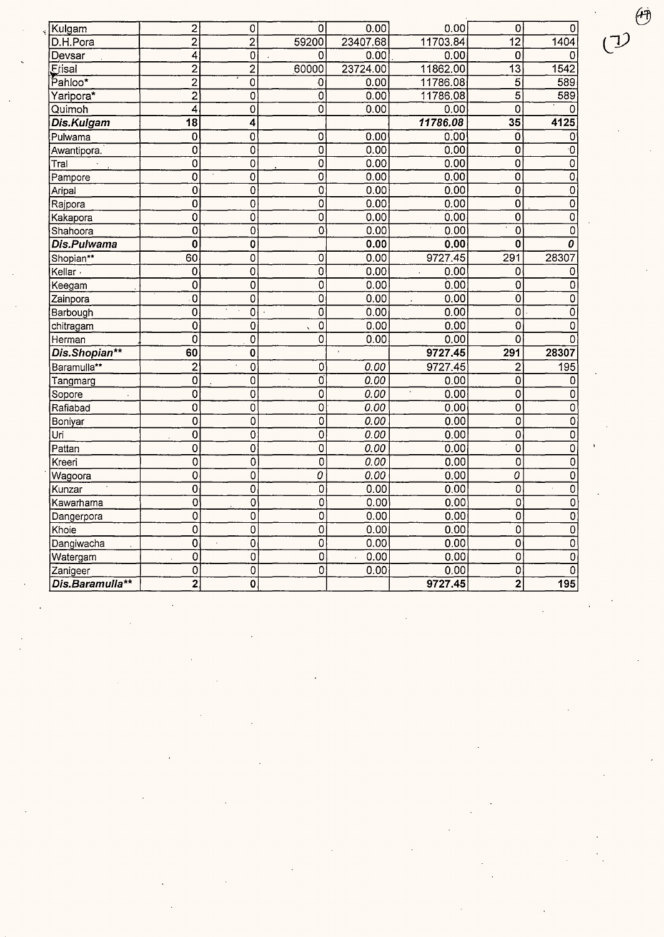| Kulgam          | $\overline{2}$          | 0                           | $\overline{0}$                   | 0.00              | 0.00                       | $\overline{0}$            | 0                                      |
|-----------------|-------------------------|-----------------------------|----------------------------------|-------------------|----------------------------|---------------------------|----------------------------------------|
| D.H.Pora        | $\overline{2}$          | $\overline{\mathbf{c}}$     | 59200                            | 23407.68          | 11703.84                   | $\overline{12}$           | 1404                                   |
| Devsar          | $\overline{\mathbf{4}}$ | $\overline{0}$              | $\Omega$                         | 0.00              | 0.00                       | 0                         | O                                      |
| Erisal          | $\overline{c}$          | $\overline{2}$              | 60000                            | 23724.00          | 11862.00                   | $\overline{13}$           | 1542                                   |
| Pahloo*         | $\overline{2}$          | 0                           | 0                                | 0.00              | 11786.08                   | $\overline{5}$            | 589                                    |
| Yaripora*       | $\overline{2}$          | $\overline{0}$              | $\overline{0}$                   | 0.00              | 11786.08                   | $\overline{5}$            | 589                                    |
| Quimoh          | $\overline{4}$          | 0                           | $\overline{\mathfrak{o}}$        | 0.00              | 0.00                       | $\overline{\mathfrak{o}}$ | $\Omega$                               |
| Dis.Kulgam      | $\overline{18}$         | 4                           |                                  |                   | 11786.08                   | 35                        | 4125                                   |
| Pulwama         | 0                       | 0                           | $\overline{0}$                   | 0.00              | 0.00                       | $\mathbf 0$               | $\mathbf 0$                            |
| Awantipora.     | $\overline{0}$          | 0                           | $\overline{0}$                   | 0.00              | 0.00                       | 0                         | $\overline{\cdot 0}$                   |
| Tral            | $\overline{0}$          | $\overline{0}$              | 0                                | 0.00              | 0.00                       | 0                         | $\overline{0}$                         |
| Pampore         | 0                       | $\overline{0}$              | $\overline{0}$                   | 0.00              | 0.00                       | $\overline{0}$            | $\overline{0}$                         |
| Aripal          | $\overline{0}$          | 0                           | $\overline{0}$                   | 0.00              | 0.00                       | $\overline{0}$            | $\overline{0}$                         |
| Rajpora         | $\mathbf 0$             | 0                           | $\overline{0}$                   | 0.00              | 0.00                       | $\mathbf 0$               | $\overline{0}$                         |
| Kakapora        | $\overline{0}$          | ō                           | $\overline{0}$                   | 0.00              | 0.00                       | $\overline{0}$            | $\overline{0}$                         |
| Shahoora        | $\overline{0}$          | 0                           | $\overline{0}$                   | 0.00              | 0.00                       | $\overline{0}$            | $\overline{0}$                         |
| Dis.Pulwama     | $\mathbf 0$             | 0                           |                                  | 0.00              | 0.00                       | $\overline{\mathbf{0}}$   | $\overline{\boldsymbol{\mathfrak{o}}}$ |
| Shopian**       | 60                      | $\mathsf 0$                 | $\overline{0}$                   | 0.00              | 9727.45                    | 291                       | 28307                                  |
| Kellar -        | $\overline{0}$          | 0                           | $\overline{0}$                   | 0.00              | 0.00<br>$\hat{\mathbf{r}}$ | $\mathbf 0$               | 0                                      |
| Keegam          | 0                       | 0                           | $\overline{\mathfrak{o}}$        | 0.00              | 0.00                       | $\overline{0}$            | $\overline{0}$                         |
| Zainpora        | $\mathbf 0$             | 0                           | $\overline{\mathfrak{o}}$        | 0.00              | 0.00                       | $\overline{\mathfrak{o}}$ | $\overline{0}$                         |
| Barbough        | $\overline{0}$          | 0                           | $\overline{0}$                   | 0.00              | 0.00                       | $\overline{0}$            | $\overline{0}$                         |
| chitragam       | $\mathbf 0$             | 0                           | $\overline{0}$                   | 0.00              | 0.00                       | $\overline{0}$            | 0                                      |
| Herman          | Ō                       | 0                           | $\overline{0}$                   | 0.00              | 0.00                       | $\overline{0}$            | $\overline{0}$                         |
| Dis.Shopian**   | 60                      | $\bf{0}$                    |                                  | $\mathbf{r}$      | 9727.45                    | 291                       | 28307                                  |
| Baramulla**     | $\overline{2}$          | $\overline{0}$              | $\overline{0}$                   | 0.00              | 9727.45                    | $\overline{2}$            | 195                                    |
| Tangmarg        | $\overline{0}$          | 0                           | $\overline{0}$                   | 0.00              | 0.00                       | $\overline{0}$            | 0                                      |
| Sopore          | $\overline{0}$          | $\mathbf 0$                 | $\overline{0}$                   | 0.00              | 0.00                       | $\overline{0}$            | $\mathbf 0$                            |
| Rafiabad        | $\overline{0}$          | Ō                           | $\overline{\mathfrak{o}}$        | 0.00              | 0.00                       | $\overline{\mathfrak{o}}$ | $\overline{0}$                         |
| Boniyar         | $\overline{0}$          | $\mathbf 0$                 | $\overline{0}$                   | 0.00              | 0.00                       | $\overline{\mathfrak{o}}$ | $\overline{0}$                         |
| Uri             | $\overline{0}$          | 0                           | $\overline{0}$                   | 0.00              | 0.00                       | $\overline{0}$            | $\overline{0}$                         |
| Pattan          | $\mathbf 0$             | 0                           | $\overline{0}$                   | 0.00              | 0.00                       | $\overline{0}$            | $\overline{0}$                         |
| Kreeri          | $\overline{0}$          | $\overline{0}$              | $\overline{\mathfrak{o}}$        | 0.00              | 0.00                       | $\overline{\mathfrak{o}}$ | $\overline{0}$                         |
| Wagoora         | $\overline{0}$          | $\overline{0}$              | $\overline{\boldsymbol{\theta}}$ | 0.00              | 0.00                       | $\overline{o}$            | $\overline{0}$                         |
| Kunzar          | $\overline{0}$          | 0                           | $\overline{\mathfrak{o}}$        | 0.00              | 0.00                       | $\overline{0}$            | $\overline{0}$<br>ä,                   |
| Kawarhama       | $\overline{0}$          | 0                           | $\overline{\mathfrak{o}}$        | 0.00              | 0.00                       | $\overline{0}$            | $\overline{0}$                         |
| Dangerpora      | $\overline{0}$          | 0                           | $\overline{0}$                   | 0.00              | 0.00                       | $\overline{0}$            | $\overline{0}$                         |
| Khoie           | $\overline{0}$          | $\overline{0}$              | $\overline{0}$                   | 0.00              | 0.00                       | $\overline{\mathfrak{o}}$ | $\overline{0}$                         |
| Dangiwacha      | $\overline{0}$          | $\overline{0}$<br>$\bar{a}$ | $\overline{\mathfrak{o}}$        | 0.00              | 0.00                       | $\overline{\mathfrak{o}}$ | $\overline{0}$                         |
| Watergam        | Ò                       | $\overline{0}$              | $\overline{0}$                   | 0.00<br>$\bar{z}$ | 0.00                       | $\overline{0}$            | $\overline{0}$                         |
| Zanigeer        | $\mathbf 0$             | 0                           | $\overline{0}$                   | 0.00              | 0.00                       | $\overline{0}$            | $\pmb{0}$                              |
| Dis.Baramulla** | 2                       | $\overline{0}$              |                                  |                   | 9727.45                    | $\overline{2}$            | 195                                    |

 $\hat{\mathcal{A}}$ 

 $\begin{pmatrix} 1 & \mathbf{r} \\ \mathbf{r} & \mathbf{r} \end{pmatrix}$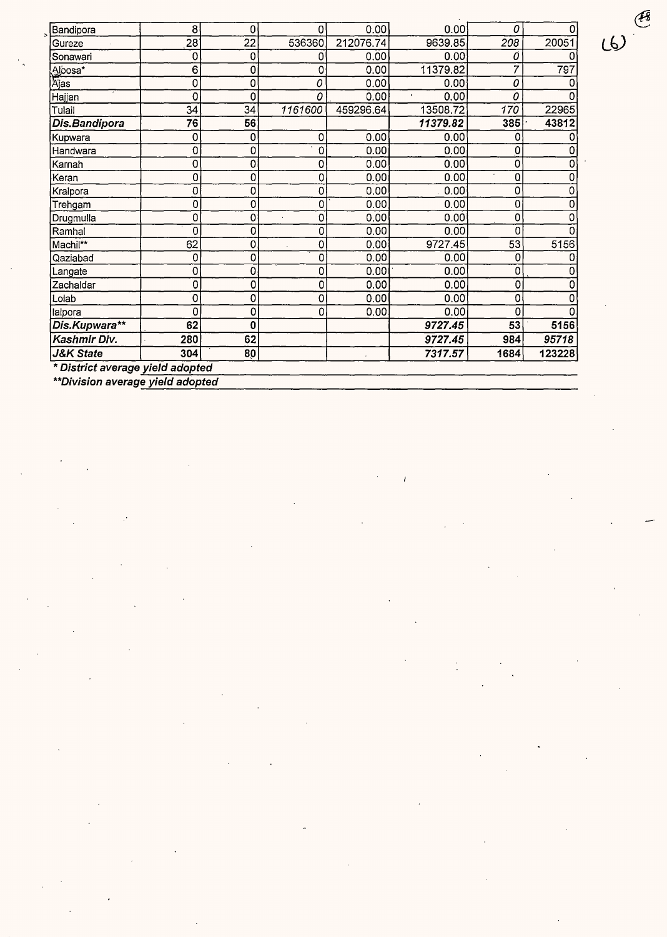| Bandipora       | 8   | 0               | $\mathbf{0}$ | 0.00      | 0.00                 | 0    | 0      |
|-----------------|-----|-----------------|--------------|-----------|----------------------|------|--------|
| Gureze          | 28  | $\overline{22}$ | 536360       | 212076.74 | 9639.85              | 208  | 20051  |
| Sonawari        | 0   | 0               | 0            | 0.00      | 0.00                 | 0    |        |
|                 | 6   | 0               | 0            | 0.00      | 11379.82             | 7    | 797    |
| Albosa*<br>Ajas | 0   | 0               | 0            | 0.00      | 0.00                 | 0    |        |
| Hajjan          | 0   | 0               | 0            | 0.00      | 0.00<br>$\mathbf{v}$ | 0    | O      |
| Tulail          | 34  | 34              | 1161600      | 459296.64 | 13508.72             | 170  | 22965  |
| Dis.Bandipora   | 76  | 56              |              |           | 11379.82             | 385  | 43812  |
| Kupwara         | 0   | 0               | 0            | 0.00      | 0.00                 | 0    |        |
| Handwara        | 0   | 0               | 0            | 0.00      | 0.00                 | 0    |        |
| Karnah          | 0   | 0               | 0            | 0.00      | 0.00                 | 0    |        |
| Keran           | 0   | 0               | 0            | 0.00      | 0.00.                | Q    |        |
| Kralpora        | 0   | 0               | 0            | 0.00      | 0.00                 | 0    | 0      |
| Trehgam         | 0   | 0               | 0            | 0.00      | 0.00                 | 0    | 0      |
| Drugmulla       | 0   | 0               | 0            | 0.00      | 0.00                 | 0    | ი      |
| Ramhal          | 0   | 0               | 0            | 0.00      | 0.00                 | 0    |        |
| Machil**        | 62  | 0               | 0            | 0.00      | 9727.45              | 53   | 5156   |
| Qaziabad        | 0   | 0               | 0            | 0.00      | 0.00                 | 0    |        |
| Langate         | 0   | 0               | 0            | 0.00      | 0.00                 | 0    |        |
| Zachaldar       | 0   | 0               | 0            | 0.00      | 0.00                 | 0    |        |
| Lolab           | 0   | 0               | 0            | 0.00      | 0.00                 | 0    |        |
| lalpora         | 0   | 0               | 0            | 0.00.     | 0.00                 | 0    |        |
| Dis.Kupwara**   | 62  | 0               |              |           | 9727.45              | 53   | 5156   |
| Kashmir Div.    | 280 | 62              |              |           | 9727.45              | 984  | 95718  |
| J&K State       | 304 | 80              |              |           | 7317.57              | 1684 | 123228 |

Í

\* District average yield adopted<br>\*\*Division average yield adopted

 $60$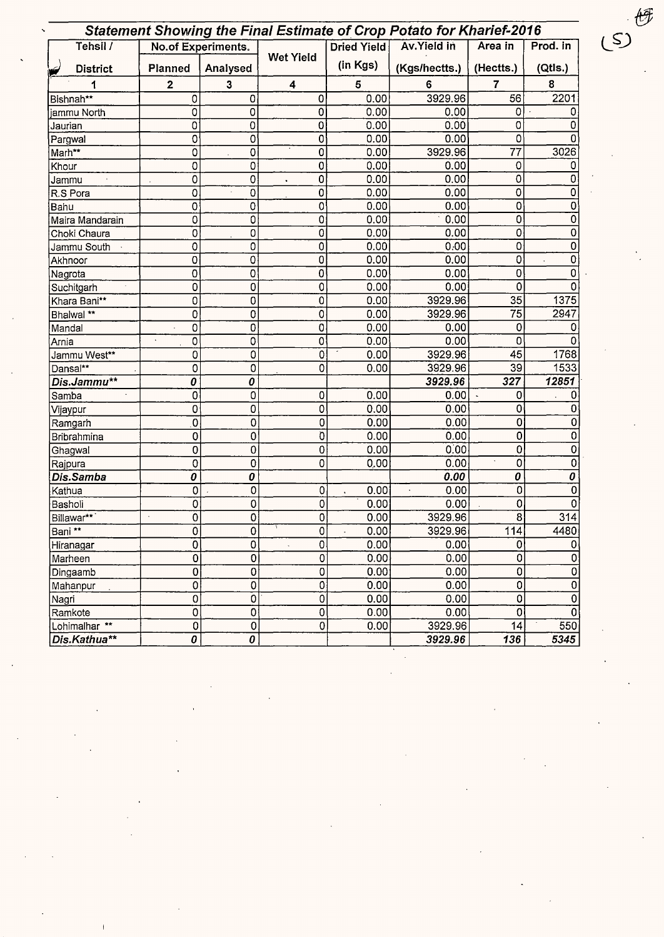|                          |                |                    |                         |                    | <b>Statement Showing the Final Estimate of Crop Potato for Kharief-2016</b> |                     |          |
|--------------------------|----------------|--------------------|-------------------------|--------------------|-----------------------------------------------------------------------------|---------------------|----------|
| Tehsil /                 |                | No.of Experiments. |                         | <b>Dried Yield</b> | Av. Yield in                                                                | Area in             | Prod. in |
| <b>District</b><br>کا    | Planned        | Analysed           | <b>Wet Yield</b>        | (in Kgs)           | (Kgs/hectts.)                                                               | (Hectts.)           | (Qtls.)  |
| 1                        | $\mathbf{2}$   | 3                  | 4                       | 5                  | 6                                                                           | $\overline{7}$      | 8        |
| Bishnah**                | 0              | $\mathbf 0$        | 0                       | 0.00               | 3929.96                                                                     | 56                  | 2201     |
| iammu North              | $\mathbf 0$    | 0                  | 0                       | 0.00               | 0.00                                                                        | $\Omega$            |          |
| Jaurian                  | 0              | 0                  | 0                       | 0.00               | 0.00                                                                        | 0                   | O        |
| Pargwal                  | 0              | 0                  | 0                       | 0.00               | 0.00                                                                        | 0                   |          |
| Marh**                   | 0              | 0                  | $\overline{0}$          | 0.00               | 3929.96                                                                     | 77                  | 3026     |
| Khour                    | 0              | 0                  | 0                       | 0.00               | 0.00                                                                        | 0                   |          |
| Jammu                    | 0              | 0                  | 0                       | 0.00               | 0.00                                                                        | 0                   | 0        |
| R.S Pora                 | 0              | 0                  | 0                       | 0.00               | 0.00                                                                        | 0                   |          |
| Bahu                     | 0              | 0                  | 0                       | 0.00               | 0.00                                                                        | 0                   | 0        |
| Maira Mandarain          | 0              | 0                  | 0                       | 0.00               | 0.00                                                                        | 0                   | 0        |
| Choki Chaura             | 0              | 0                  | 0                       | 0.00               | 0.00                                                                        | 0                   | 0        |
| Jammu South              | 0              | 0                  | 0                       | 0.00               | 0.00                                                                        | 0                   | 0        |
| Akhnoor                  | 0              | 0                  | 0                       | 0.00               | 0.00                                                                        | 0                   |          |
| Nagrota                  | $\mathbf 0$    | 0                  | $\overline{0}$          | 0.00               | 0.00                                                                        | 0                   |          |
| Suchitgarh               | 0              | 0                  | $\pmb{0}$               | 0.00               | 0.00                                                                        | 0                   |          |
| Khara Bani**             | 0              | 0                  | $\overline{0}$          | 0.00               | 3929.96                                                                     | 35                  | 1375     |
| Bhalwal **               | 0              | 0                  | 0                       | 0.00               | 3929.96                                                                     | 75                  | 2947     |
| Mandal                   | 0              | 0                  | $\overline{0}$          | 0.00               | 0.00                                                                        | 0                   |          |
| Arnia                    | 0              | 0                  | $\overline{0}$          | 0.00               | 0.00                                                                        | 0                   |          |
| Jammu West**             | 0              | 0                  | Ō                       | 0.00               | 3929.96                                                                     | $\overline{45}$     | 1768     |
| Dansal**                 | 0              | $\overline{0}$     | $\overline{0}$          | 0.00               | 3929.96                                                                     | 39                  | 1533     |
| Dis.Jammu**              | 0              | 0                  |                         |                    | 3929.96                                                                     | 327                 | 12851    |
| Samba                    | 0              | 0                  | 0                       | 0.00               | 0.00                                                                        | 0                   | 0        |
| Vijaypur                 | 0              | 0                  | 0                       | 0.00               | 0.00                                                                        | 0                   | 0        |
| Ramgarh                  | 0              | 0                  | 0                       | 0.00               | 0.00                                                                        | 0                   |          |
| Bribrahmina              | 0              | 0                  | Ò                       | 0.00               | 0.00                                                                        | $\overline{0}$      | 0        |
| Ghagwal                  | 0              | 0                  | $\pmb{0}$               | 0.00               | 0.00                                                                        | 0                   | 0        |
| Rajpura                  | 0              | $\mathbf 0$        | $\overline{0}$          | 0.00               | 0.00                                                                        | $\mathsf{O}\xspace$ | 0        |
| Dis.Samba                | 0              | 0                  |                         |                    | 0.00                                                                        | 0                   | 0        |
| Kathua                   | 0              | $\mathbf 0$        | 0                       | 0.00               | 0.00                                                                        | 0                   | 0        |
| Basholi                  | 0              | 0                  | 0                       | 0.00               | 0.00                                                                        | 0                   | n        |
| Billawar**               | $\overline{0}$ | $\overline{0}$     | $\overline{\mathsf{o}}$ | 0.00               | 3929.96                                                                     | $\overline{8}$      | 314      |
| Bani **                  | 0              | 0                  | $\overline{0}$          | 0.00               | 3929.96                                                                     | 114                 | 4480     |
| Hiranagar                | 0              | 0                  | $\mathbf{0}$            | 0.00               | 0.00                                                                        | 0                   |          |
| Marheen                  | 0              | 0                  | O,                      | 0.00               | 0.00                                                                        | 0                   | 0        |
| Dingaamb                 | 0              | $\mathbf 0$        | 0                       | 0.00               | 0.00                                                                        | 0                   | 0        |
| Mahanpur                 | 0              | 0                  | $\overline{0}$          | 0.00               | 0.00                                                                        | 0                   | 0        |
| Nagri                    | 0              | 0                  | $\overline{0}$          | 0.00               | 0.00                                                                        | 0                   |          |
| Ramkote                  | 0              | 0                  | $\overline{0}$          | 0.00               | 0.00                                                                        | 0                   |          |
| Lohimalhar <sup>**</sup> | 0              | 0                  | $\overline{0}$          | 0.00               | 3929.96                                                                     | 14                  | 550      |
| Dis.Kathua**             | 0              | 0                  |                         |                    | 3929.96                                                                     | 136                 | 5345     |

 $\ddot{\phantom{0}}$ 

 $\frac{1}{2}$  .

 $\mathfrak{G}$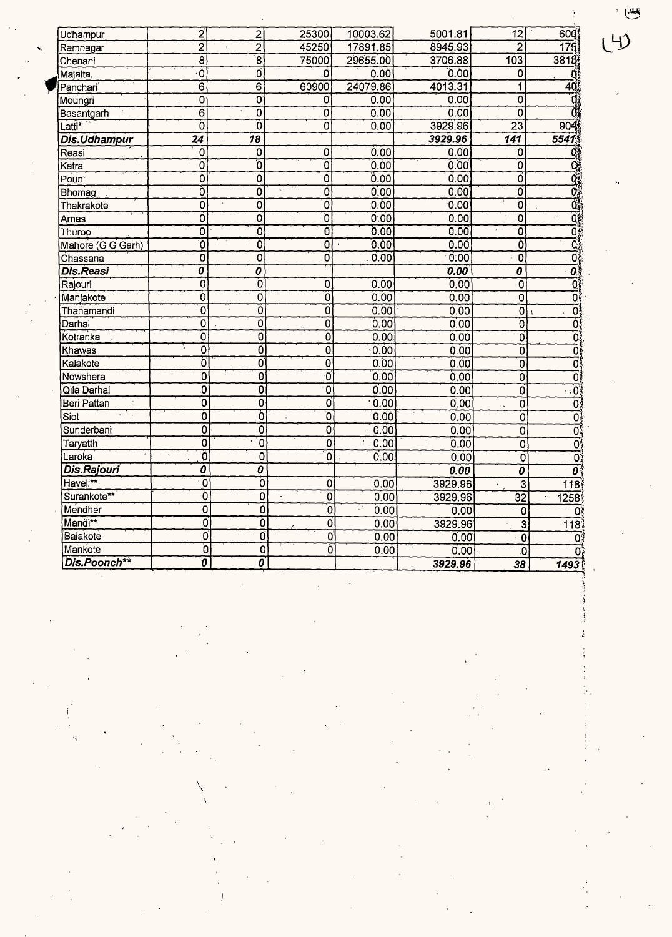| Udhampur            | $\mathbf{z}$                     | $\overline{\mathbf{c}}$   | 25300                     | 10003.62   | 5001.81 | 12                               | 60Q                      |
|---------------------|----------------------------------|---------------------------|---------------------------|------------|---------|----------------------------------|--------------------------|
| Ramnagar            | $\overline{2}$                   | $\overline{2}$            | 45250                     | 17891.85   | 8945.93 | $\overline{2}$                   | 179                      |
| Chenani             | $\overline{8}$                   | $\overline{\mathbf{8}}$   | 75000                     | 29655.00   | 3706.88 | 103                              | 3818                     |
| Majalta.            | Ò                                | ō                         | 0                         | 0.00       | 0.00    | 0                                | Œ                        |
| Panchari            | $\overline{6}$                   | $\overline{6}$            | 60900                     | 24079.86   | 4013.31 | 1                                | 40                       |
| Moungri             | 0                                | 0                         | 0                         | 0.00       | 0.00    | Ö                                | Ő                        |
| Basantgarh          | $\overline{6}$                   | ō                         | 0                         | 0.00       | 0.00    | ō                                | Ö                        |
| Latti*              | ō                                | ō                         | $\overline{0}$            | 0.00       | 3929.96 | $\overline{23}$                  | 904                      |
| <b>Dis.Udhampur</b> | $\overline{24}$                  | $\overline{18}$           |                           |            | 3929.96 | $\overline{141}$                 | 5541                     |
| Reasi               | 0                                | 0                         | 0                         | 0.00       | 0.00    | 0                                | Q.                       |
| Katra               | $\overline{0}$                   | ō                         | $\overline{0}$            | 0.00       | 0.00    | O                                | ಡ                        |
| Pouni               | Ō                                | 0                         | ō                         | 0.00       | 0.00    | õ                                | $\overline{\mathbf{Q}}$  |
| Bhomag              | Ò                                | 0                         | O                         | 0.00       | 0.00    | ō                                | Ō.                       |
| Thakrakote          | Ö                                | 0                         | 0                         | 0.00       | 0.00    | $\overline{\mathfrak{o}}$        | ō,                       |
| Arnas               | Ó                                | O                         | Õ                         | 0.00       | 0.00    | Ō                                | ۵š                       |
| Thuroo              | $\tilde{O}$                      | $\overline{\mathfrak{o}}$ | ō                         | 0.00       | 0.00    | $\overline{0}$                   | ŌÎ                       |
| Mahore (G G Garh)   | Ö                                | Ö                         | $\overline{0}$            | 0.00       | 0.00    | Ò                                | Ō,                       |
| Chassana            | Ö                                | $\overline{0}$            | 0                         | 0.00       | 0.00    | $\overline{0}$                   | õ.                       |
| <b>Dis.Reasi</b>    | 0                                | 0                         |                           |            | 0.00    | $\overline{\boldsymbol{\theta}}$ | 0                        |
| Rajouri             | $\overline{0}$                   | 0                         | $\overline{0}$            | 0.00       | 0.00    | $\overline{0}$                   | Q                        |
| Manjakote           | Ö                                | $\overline{\mathfrak{o}}$ | 0                         | 0.00       | 0.00    | $\overline{0}$                   | Ō                        |
| Thanamandi          | ō                                | $\overline{0}$            | $\overline{\mathfrak{o}}$ | 0.00       | 0.00    | 0                                | Ö                        |
| Darhal              | 0                                | 0                         | 0                         | 0.00       | 0.00    | $\overline{0}$                   | 0,                       |
| Kotranka            | 0                                | 0                         | $\overline{0}$            | 0.00       | 0.00    | Ō                                | Ōì                       |
| Khawas              | $\overline{\mathfrak{o}}$        | $\overline{\mathfrak{o}}$ | $\overline{0}$            | 0.00       | 0.00    | ō                                | õ                        |
| Kalakote            | Ö                                | $\overline{0}$            | ò                         | 0.00       | 0.00    | O                                | ō                        |
| Nowshera            | ์ดิ                              | $\overline{0}$            | 0                         | 0.00       | 0.00    | Ò                                | ōį                       |
| Qila Darhal         | ō                                | 0                         | $\mathbf 0$               | 0.00       | 0.00    | $\overline{0}$                   | $\overline{\phantom{a}}$ |
| Beri Pattan         | $\overline{0}$                   | $\overline{0}$            | $\overline{0}$            | 0.00       | 0.00    | Ö                                | $\overline{0}$           |
| Siot                | ō                                | Ò                         | ์งิ                       | 0.00       | 0.00    | $\overline{0}$                   | ŌÎ                       |
| Sunderbani          | 0                                | Ö                         | Ö                         | 0.00       | 0.00    | $\overline{0}$                   | ō,                       |
| Taryatth            | 0                                | $\overline{\mathfrak{o}}$ | $\overline{\mathfrak{o}}$ | 0.00       | 0.00    | 0                                | $\overline{0}$           |
| Laroka              | õ                                | $\overline{0}$            | $\overline{\mathfrak{o}}$ | 0.00       | 0.00    | $\overline{0}$                   | $\overline{0}$           |
| Dis.Rajouri         | 0                                | $\overline{o}$            |                           |            | 0.00    | 0                                | $\overline{o}$           |
| Haveli**            | $\overline{0}$                   | ō                         | Ò                         | 0.00       | 3929.96 | $\overline{3}$                   | 118                      |
| Surankote**         | Ò                                | Ō                         | $\overline{0}$            | 0.00       | 3929.96 | 32                               | 1258                     |
| Mendher             | $\overline{0}$                   | Ō                         | ์ด                        | ţ.<br>0.00 | 0.00    | 0                                | O)                       |
| Mandi**             | O                                | $\overline{0}$            | o                         | 0.00       | 3929.96 | $\overline{3}$                   | $\overline{118}$         |
| Balakote            | $\overline{\mathfrak{o}}$        | Ō                         | O                         | 0.00       | 0.00    | $\mathbf 0$                      | ٥٩                       |
| Mankote             | ō                                | 0                         | õ                         | 0.00       | 0.00    | .O                               | 0.                       |
| Dis.Poonch**        | $\overline{\boldsymbol{\theta}}$ | 0                         |                           |            | 3929.96 | 38                               | 1493                     |

 $\label{eq:2.1} \frac{1}{2} \sum_{i=1}^n \frac{1}{2} \sum_{j=1}^n \frac{1}{2} \sum_{j=1}^n \frac{1}{2} \sum_{j=1}^n \frac{1}{2} \sum_{j=1}^n \frac{1}{2} \sum_{j=1}^n \frac{1}{2} \sum_{j=1}^n \frac{1}{2} \sum_{j=1}^n \frac{1}{2} \sum_{j=1}^n \frac{1}{2} \sum_{j=1}^n \frac{1}{2} \sum_{j=1}^n \frac{1}{2} \sum_{j=1}^n \frac{1}{2} \sum_{j=1}^n \frac{$ 

 $\checkmark$ 

 $\ddot{\phantom{0}}$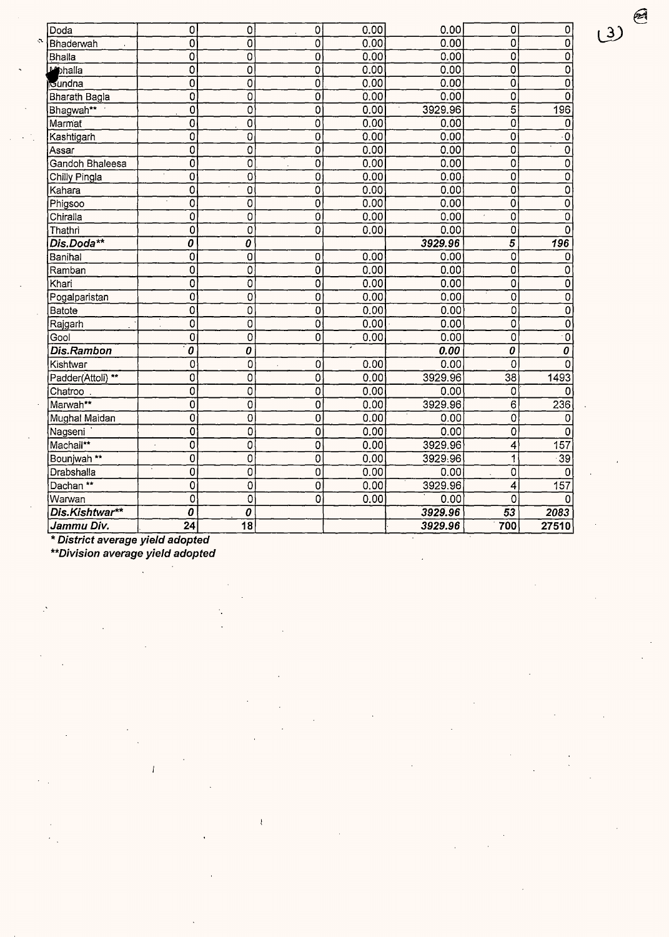| ∫Doda                  | $\overline{0}$                         | $\mathbf 0$     | $\overline{0}$            | 0.00 | 0.00    | 0                                      | $\pmb{0}$                 |
|------------------------|----------------------------------------|-----------------|---------------------------|------|---------|----------------------------------------|---------------------------|
| Bhaderwah              | $\overline{0}$                         | 0               | $\overline{0}$            | 0.00 | 0.00    | 0                                      | $\overline{0}$            |
| <b>Bhalla</b>          | 0                                      | 0               | $\overline{0}$            | 0.00 | 0.00    | 0                                      | $\overline{0}$            |
| bebhalla               | 0                                      | 0               | $\overline{0}$            | 0.00 | 0.00    | $\overline{0}$                         | $\overline{0}$            |
| ilGundna               | $\overline{0}$                         | Ó               | $\overline{0}$            | 0.00 | 0.00    | $\overline{\mathfrak{o}}$              | $\overline{0}$            |
| <b>Bharath Bagla</b>   | 0                                      | 0               | $\overline{0}$            | 0.00 | 0.00    | Ō                                      | $\mathbf 0$               |
| Bhagwah**              | $\overline{0}$                         | 0               | $\overline{0}$            | 0.00 | 3929.96 | $\overline{5}$                         | 196                       |
| Marmat                 | $\overline{0}$                         | 0               | $\overline{0}$            | 0.00 | 0.00    | $\overline{\mathfrak{o}}$              | $\mathbf 0$               |
| Kashtigarh             | $\overline{0}$                         | $\overline{0}$  | $\overline{0}$            | 0.00 | 0.00    | $\overline{0}$                         | $\overline{\cdot 0}$      |
| Assar                  | $\overline{0}$                         | $\overline{0}$  | $\overline{0}$            | 0.00 | 0.00    | $\overline{0}$                         | $\overline{0}$            |
| Gandoh Bhaleesa        | 0                                      | 0               | $\mathbf 0$               | 0.00 | 0.00    | 0                                      | $\overline{0}$            |
| Chilly Pingla          | $\mathbf 0$                            | 0               | 0                         | 0.00 | 0.00    | 0                                      | $\overline{0}$            |
| <b>K</b> ahara         | $\overline{0}$                         | 0               | $\overline{0}$            | 0.00 | 0.00    | $\overline{0}$                         | 0                         |
| Phigsoo                | 0                                      | 0               | $\overline{0}$            | 0.00 | 0.00    | $\overline{\mathfrak{o}}$              | $\overline{0}$            |
| Chiralla               | 0                                      | 0               | $\overline{0}$            | 0.00 | 0.00    | $\overline{0}$                         | $\overline{0}$            |
| Thathri                | Ó                                      | $\overline{0}$  | $\overline{\mathfrak{o}}$ | 0.00 | 0.00    | $\overline{0}$                         | $\overline{0}$            |
| Dis.Doda**             | $\overline{o}$                         | 0               |                           |      | 3929.96 | $\overline{5}$                         | 196                       |
| Banihal                | $\overline{0}$                         | 0               | $\overline{0}$            | 0.00 | 0.00    | 0                                      | 0                         |
| Ramban                 | $\overline{0}$                         | 0               | 0                         | 0.00 | 0.00    | $\overline{0}$                         | 0                         |
| Khari                  | $\overline{0}$                         | 0               | $\overline{0}$            | 0.00 | 0.00    | 0                                      | $\overline{0}$            |
| Pogalparistan          | 0                                      | 0               | $\overline{0}$            | 0.00 | 0.00    | 0                                      | $\overline{0}$            |
| Batote                 | $\overline{\mathfrak{o}}$              | 0               | $\overline{0}$            | 0.00 | 0.00    | $\overline{0}$                         | $\overline{\mathfrak{o}}$ |
| Rajgarh                | 0                                      | 0               | $\overline{0}$            | 0.00 | 0.00    | 0                                      | $\overline{\mathfrak{o}}$ |
| Gool                   | $\mathbf 0$                            | O               | $\overline{0}$            | 0.00 | 0.00    | $\overline{0}$                         | $\overline{\cdot}$ O      |
| Dis.Rambon             | $\overline{\boldsymbol{\mathfrak{o}}}$ | $\overline{o}$  |                           |      | 0.00    | $\overline{\boldsymbol{\mathfrak{o}}}$ | $\overline{o}$            |
| Kishtwar               | 0                                      | 0               | 0                         | 0.00 | 0.00    | 0                                      | 0                         |
| Padder(Attoli) **      | 0                                      | 0               | $\overline{0}$            | 0.00 | 3929.96 | $\overline{38}$                        | 1493                      |
| Chatroo                | 0                                      | 0               | Ó                         | 0.00 | 0.00    | 0                                      | 0                         |
| Marwah**               | Ö                                      | 0               | 0                         | 0.00 | 3929.96 | $\overline{6}$                         | 236                       |
| Mughal Maidan          | $\overline{0}$                         | 0               | 0                         | 0.00 | 0.00    | Ō                                      | 0                         |
| Nagseni                | 0                                      | 0               | 0                         | 0.00 | 0.00    | $\overline{0}$                         | 0                         |
| Machail**              | $\overline{0}$<br>$\ddot{\phantom{a}}$ | 0               | 0                         | 0.00 | 3929.96 | 4                                      | $\overline{157}$          |
| Bounjwah <sup>**</sup> | $\overline{0}$                         | 0               | $\overline{0}$            | 0.00 | 3929.96 | 1                                      | $\overline{39}$           |
| Drabshalla             | 0                                      | 0               | $\overline{0}$            | 0.00 | 0.00    | 0                                      | $\Omega$                  |
| Dachan **              | $\overline{0}$                         | $\mathbf 0$     | $\overline{0}$            | 0.00 | 3929.96 | 4                                      | 157                       |
| Warwan                 | $\overline{0}$                         | 0               | 0                         | 0.00 | 0.00    | 0                                      | $\Omega$                  |
| Dis.Kishtwar**         | $\boldsymbol{0}$                       | 0               |                           |      | 3929.96 | 53                                     | 2083                      |
| Jammu Div.             | 24                                     | $\overline{18}$ |                           |      | 3929.96 | 700                                    | 27510                     |
|                        |                                        |                 |                           |      |         |                                        |                           |

\* **District average yield adopted** 

 $\ddot{\cdot}$ 

 $\ddot{\phantom{a}}$ 

 $\cdot$  $\bar{a}$ 

 $\mathbf{A}$ 

**\*\*Division average yield adopted** 

 $\bar{l}$ 

 $\ddot{\phantom{a}}$ 

 $\ddot{\phantom{a}}$ 

 $\bar{t}$ 

 $\ddot{\phantom{a}}$ 

 $\bar{z}$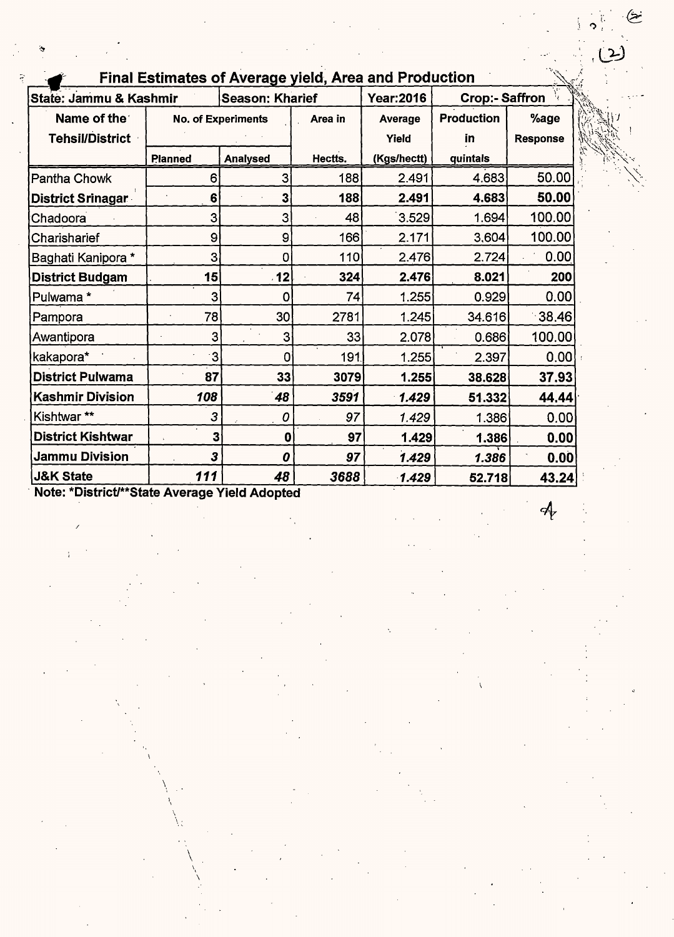| <b>Final Estimates of Average yield, Area and Production</b> |                                      |                        |         |                   |                       |                       |  |  |  |  |
|--------------------------------------------------------------|--------------------------------------|------------------------|---------|-------------------|-----------------------|-----------------------|--|--|--|--|
| State: Jammu & Kashmir                                       |                                      | <b>Season: Kharief</b> |         | <b>Year:2016</b>  | <b>Crop:- Saffron</b> |                       |  |  |  |  |
| Name of the                                                  | <b>No. of Experiments</b><br>Area in |                        | Average | <b>Production</b> | %age                  |                       |  |  |  |  |
| <b>Tehsil/District</b>                                       |                                      |                        |         | Yield             | <u>in</u>             | <b>Response</b>       |  |  |  |  |
|                                                              | <b>Planned</b>                       | <b>Analysed</b>        | Hectts. | (Kgs/hectt)       | quintals              |                       |  |  |  |  |
| Pantha Chowk                                                 | 6                                    | 3                      | 188     | 2.491             | 4.683                 | 50.00                 |  |  |  |  |
| District Srinagar                                            | 6                                    | 3                      | 188     | 2.491             | 4.683                 | 50.00                 |  |  |  |  |
| Chadoora                                                     | 3                                    | 3                      | 48      | 3.529             | 1.694                 | 100.00                |  |  |  |  |
| Charisharief                                                 | 9                                    | $\mathbf{9}$           | 166     | 2.171             | 3,604                 | 100.00                |  |  |  |  |
| Baghati Kanipora *                                           | 3                                    | 0                      | 110     | 2.476             | 2.724                 | 0.00                  |  |  |  |  |
| <b>District Budgam</b>                                       | 15                                   | 12                     | 324     | 2.476             | 8.021                 | 200                   |  |  |  |  |
| Pulwama*                                                     | 3                                    | 0                      | 74      | 1.255             | 0.929                 | 0.00                  |  |  |  |  |
| Pampora                                                      | 78                                   | 30                     | 2781    | 1.245             | 34.616                | $\lceil 38.46 \rceil$ |  |  |  |  |
| Awantipora                                                   | 3                                    | 3                      | 33      | 2.078             | 0.686                 | 100.00                |  |  |  |  |
| kakapora*                                                    | 3                                    | 0                      | 191.    | 1.255             | 2.397                 | 0.00                  |  |  |  |  |
| <b>District Pulwama</b>                                      | 87                                   | 33                     | 3079    | 1.255             | 38.628                | 37.93                 |  |  |  |  |
| <b>Kashmir Division</b>                                      | 108                                  | 48                     | 3591    | 1.429             | 51.332                | 44.44                 |  |  |  |  |
| Kishtwar**                                                   | 3                                    | 0                      | 97      | 1.429             | 1.386                 | 0.00                  |  |  |  |  |
| <b>District Kishtwar</b>                                     | 3                                    | $\bf{0}$               | 97      | 1.429             | 1.386                 | 0.00                  |  |  |  |  |
| <b>Jammu Division</b>                                        | 3                                    | 0                      | 97      | 1.429             | 1.386                 | 0.00                  |  |  |  |  |
| <b>J&amp;K State</b>                                         | 111                                  | 48                     | 3688    | 1.429             | 52.718                | 43.24                 |  |  |  |  |

· Note: \*District/\*\*State Average Yield Adopted

 $\int$ 

 $\checkmark$  $\bigl\backslash$  :

 $\setminus$ 

/